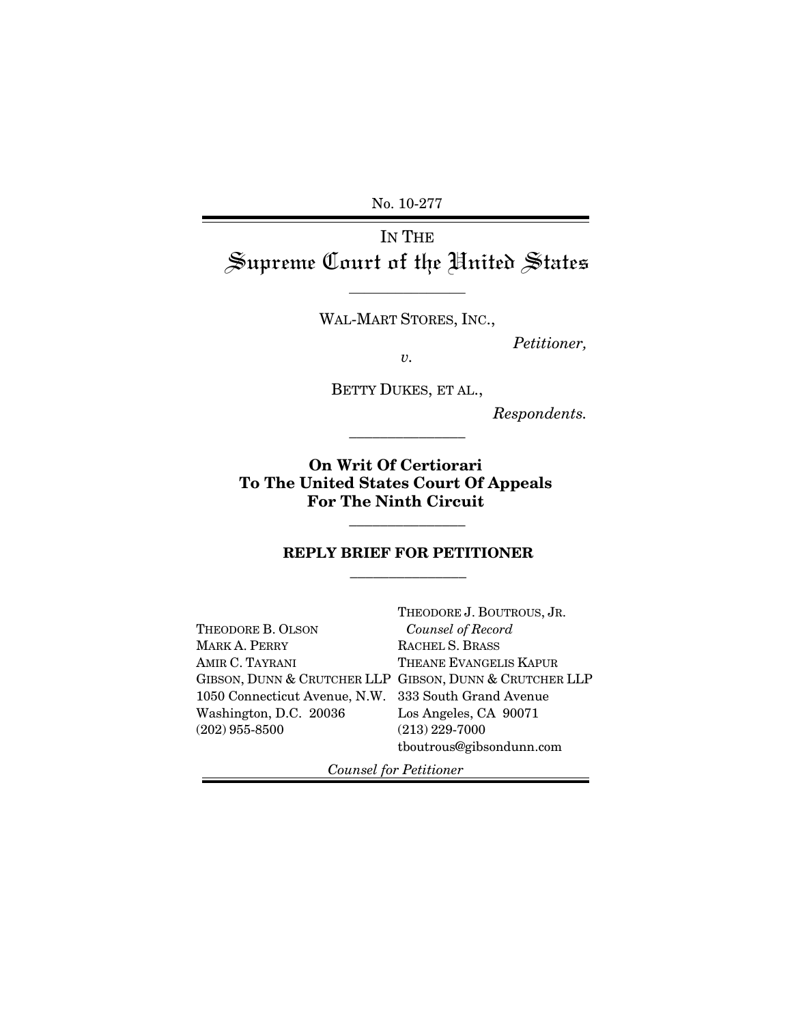No. 10-277

# IN THE Supreme Court of the United States

WAL-MART STORES, INC.,

 $\overline{\phantom{a}}$  , where  $\overline{\phantom{a}}$ 

*Petitioner,* 

*v.* 

BETTY DUKES, ET AL.,

\_\_\_\_\_\_\_\_\_\_\_\_\_\_\_

*Respondents.*

**On Writ Of Certiorari To The United States Court Of Appeals For The Ninth Circuit** 

## **REPLY BRIEF FOR PETITIONER**  \_\_\_\_\_\_\_\_\_\_\_\_\_\_\_

\_\_\_\_\_\_\_\_\_\_\_\_\_\_\_

|                                                      | THEODORE J. BOUTROUS, JR.                               |
|------------------------------------------------------|---------------------------------------------------------|
| THEODORE B. OLSON                                    | Counsel of Record                                       |
| <b>MARK A. PERRY</b>                                 | RACHEL S. BRASS                                         |
| AMIR C. TAYRANI                                      | THEANE EVANGELIS KAPUR                                  |
|                                                      | GIBSON, DUNN & CRUTCHER LLP GIBSON, DUNN & CRUTCHER LLP |
| 1050 Connecticut Avenue, N.W. 333 South Grand Avenue |                                                         |
| Washington, D.C. 20036                               | Los Angeles, CA 90071                                   |
| $(202)$ 955-8500                                     | $(213)$ 229-7000                                        |
|                                                      | tboutrous@gibsondunn.com                                |
|                                                      |                                                         |

 *Counsel for Petitioner*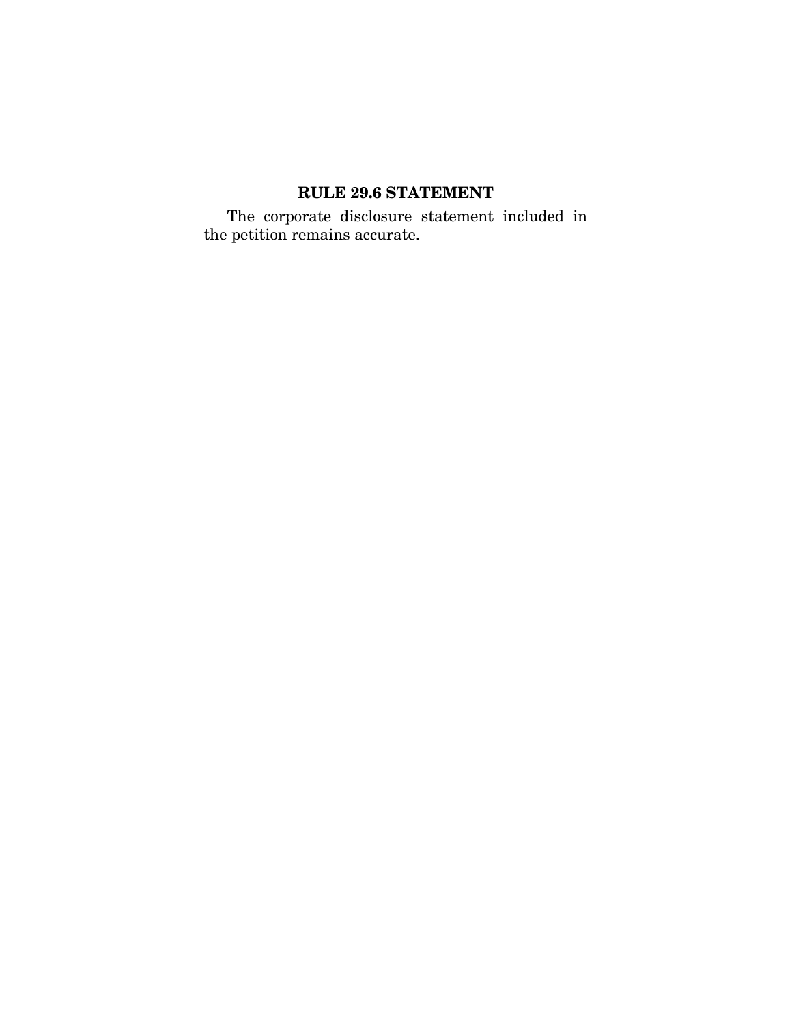# **RULE 29.6 STATEMENT**

The corporate disclosure statement included in the petition remains accurate.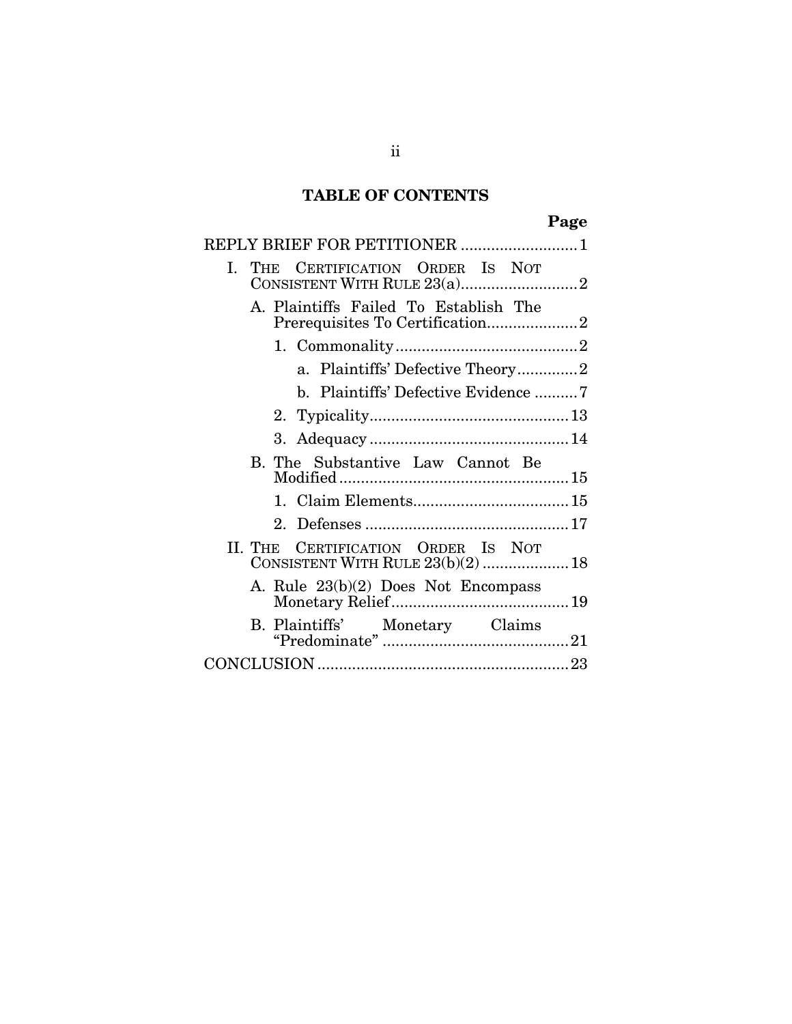# **TABLE OF CONTENTS**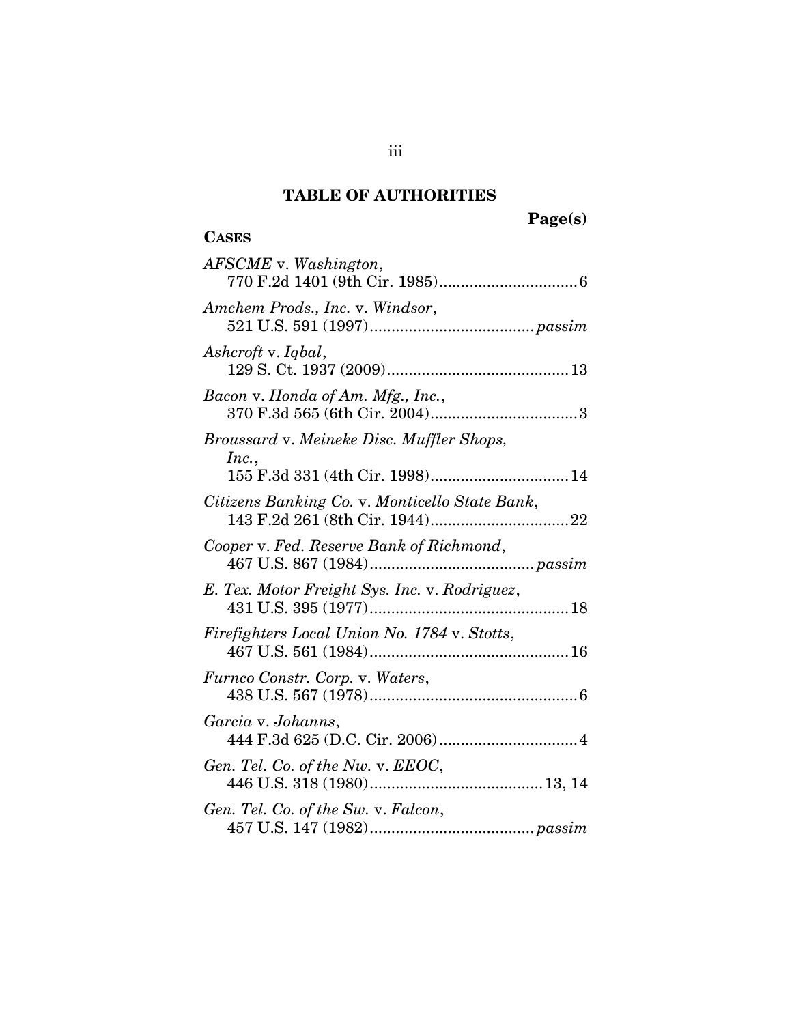# **TABLE OF AUTHORITIES**

# **Page(s)**

# **CASES**

| AFSCME v. Washington,                              |
|----------------------------------------------------|
| Amchem Prods., Inc. v. Windsor,                    |
| Ashcroft v. Iqbal,                                 |
| Bacon v. Honda of Am. Mfg., Inc.,                  |
| Broussard v. Meineke Disc. Muffler Shops,<br>Inc., |
| Citizens Banking Co. v. Monticello State Bank,     |
| Cooper v. Fed. Reserve Bank of Richmond,           |
| E. Tex. Motor Freight Sys. Inc. v. Rodriguez,      |
| Firefighters Local Union No. 1784 v. Stotts,       |
| Furnco Constr. Corp. v. Waters,                    |
| Garcia v. Johanns,                                 |
| Gen. Tel. Co. of the Nw. v. EEOC,                  |
| Gen. Tel. Co. of the Sw. v. Falcon,                |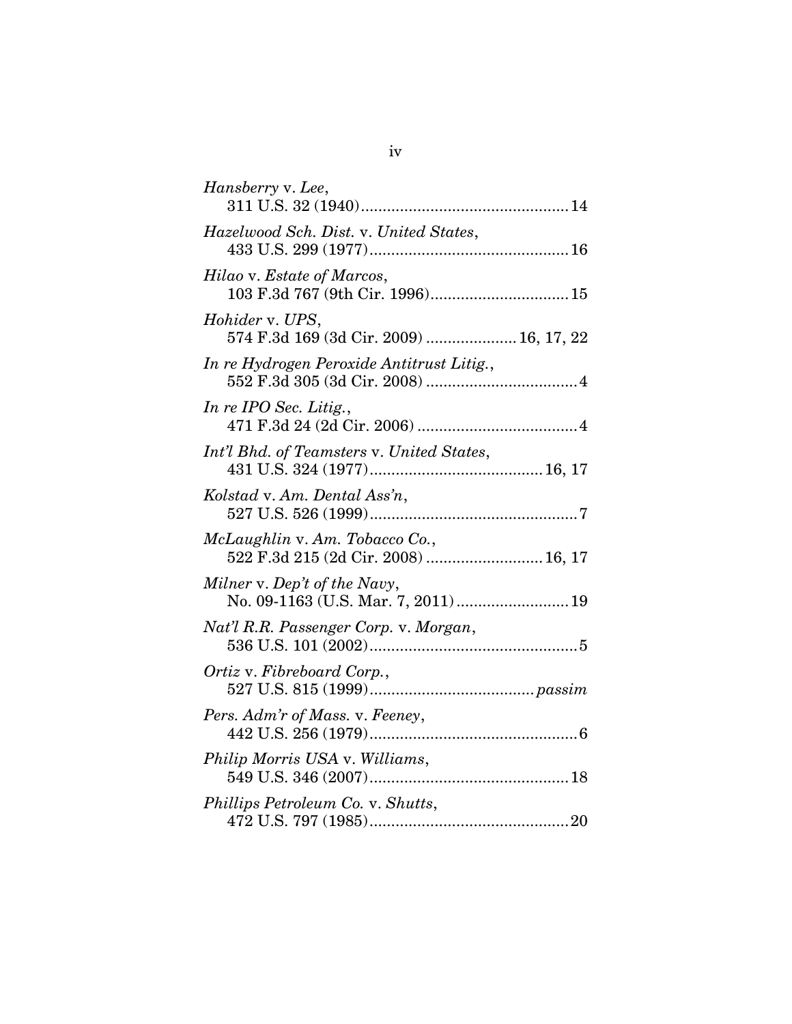| Hansberry v. Lee,                                                     |
|-----------------------------------------------------------------------|
| Hazelwood Sch. Dist. v. United States,                                |
| Hilao v. Estate of Marcos,<br>103 F.3d 767 (9th Cir. 1996) 15         |
| Hohider v. UPS,<br>574 F.3d 169 (3d Cir. 2009)  16, 17, 22            |
| In re Hydrogen Peroxide Antitrust Litig.,                             |
| In re IPO Sec. Litig.,                                                |
| Int'l Bhd. of Teamsters v. United States,                             |
| Kolstad v. Am. Dental Ass'n,                                          |
| McLaughlin v. Am. Tobacco Co.,<br>522 F.3d 215 (2d Cir. 2008)  16, 17 |
| Milner v. Dep't of the Navy,<br>No. 09-1163 (U.S. Mar. 7, 2011)  19   |
| Nat'l R.R. Passenger Corp. v. Morgan,                                 |
| Ortiz v. Fibreboard Corp.,                                            |
| Pers. Adm'r of Mass. v. Feeney,                                       |
| Philip Morris USA v. Williams,                                        |
| Phillips Petroleum Co. v. Shutts,                                     |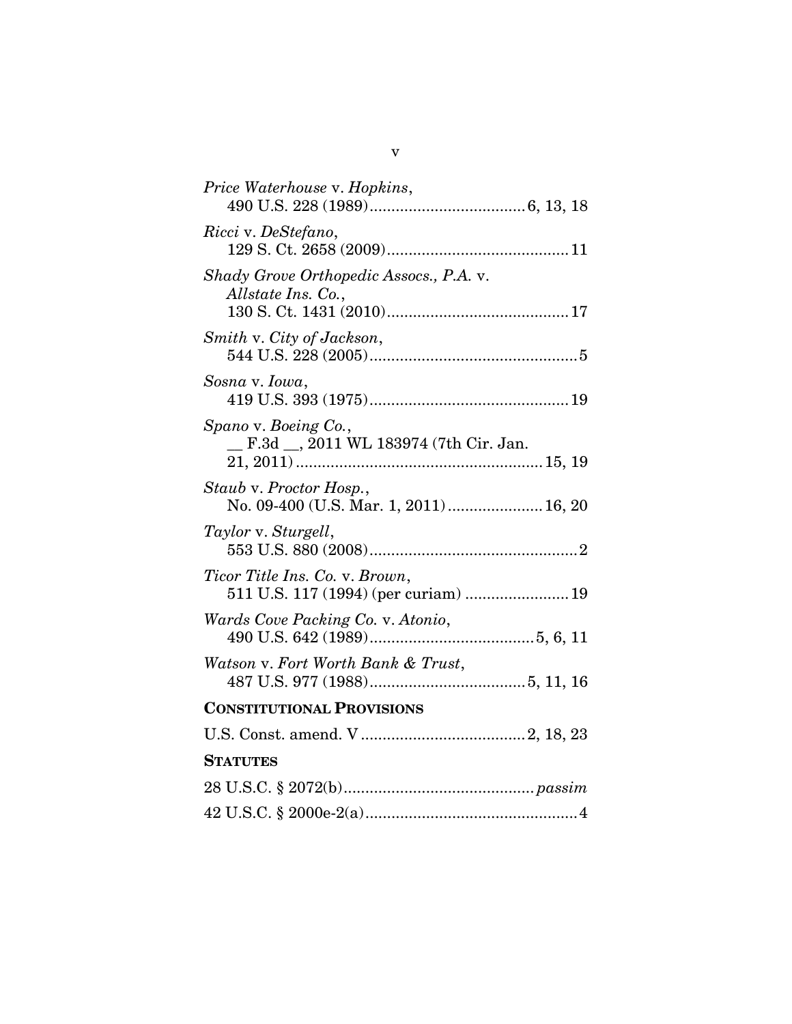| Price Waterhouse v. Hopkins,                                           |
|------------------------------------------------------------------------|
| Ricci v. DeStefano,                                                    |
| Shady Grove Orthopedic Assocs., P.A. v.<br>Allstate Ins. Co.,          |
| Smith v. City of Jackson,                                              |
| Sosna v. Iowa,                                                         |
| Spano v. Boeing Co.,<br>F.3d _, 2011 WL 183974 (7th Cir. Jan.          |
| Staub v. Proctor Hosp.,<br>No. 09-400 (U.S. Mar. 1, 2011) 16, 20       |
| Taylor v. Sturgell,                                                    |
| Ticor Title Ins. Co. v. Brown,<br>511 U.S. 117 (1994) (per curiam)  19 |
| Wards Cove Packing Co. v. Atonio,                                      |
| Watson v. Fort Worth Bank & Trust,                                     |
| <b>CONSTITUTIONAL PROVISIONS</b>                                       |
|                                                                        |
| <b>STATUTES</b>                                                        |
|                                                                        |
|                                                                        |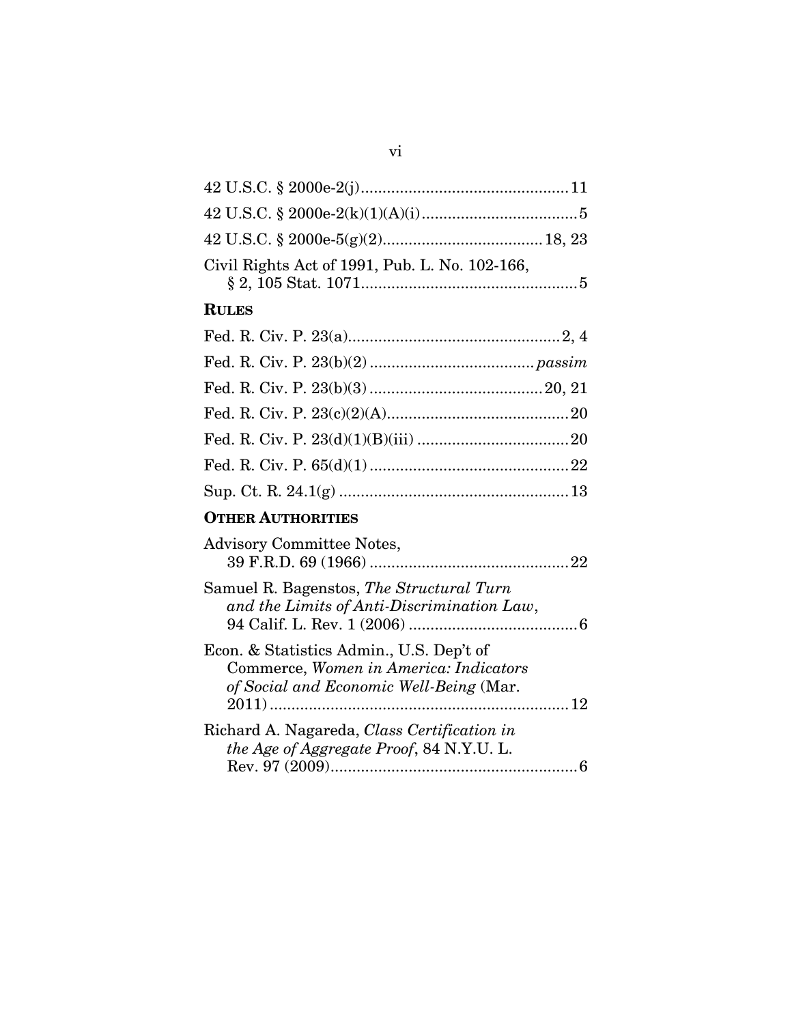| Civil Rights Act of 1991, Pub. L. No. 102-166,                                                                                |
|-------------------------------------------------------------------------------------------------------------------------------|
| <b>RULES</b>                                                                                                                  |
|                                                                                                                               |
|                                                                                                                               |
|                                                                                                                               |
|                                                                                                                               |
|                                                                                                                               |
|                                                                                                                               |
|                                                                                                                               |
| <b>OTHER AUTHORITIES</b>                                                                                                      |
| <b>Advisory Committee Notes,</b>                                                                                              |
| Samuel R. Bagenstos, The Structural Turn<br>and the Limits of Anti-Discrimination Law,                                        |
| Econ. & Statistics Admin., U.S. Dep't of<br>Commerce, Women in America: Indicators<br>of Social and Economic Well-Being (Mar. |
| Richard A. Nagareda, Class Certification in<br>the Age of Aggregate Proof, 84 N.Y.U. L.                                       |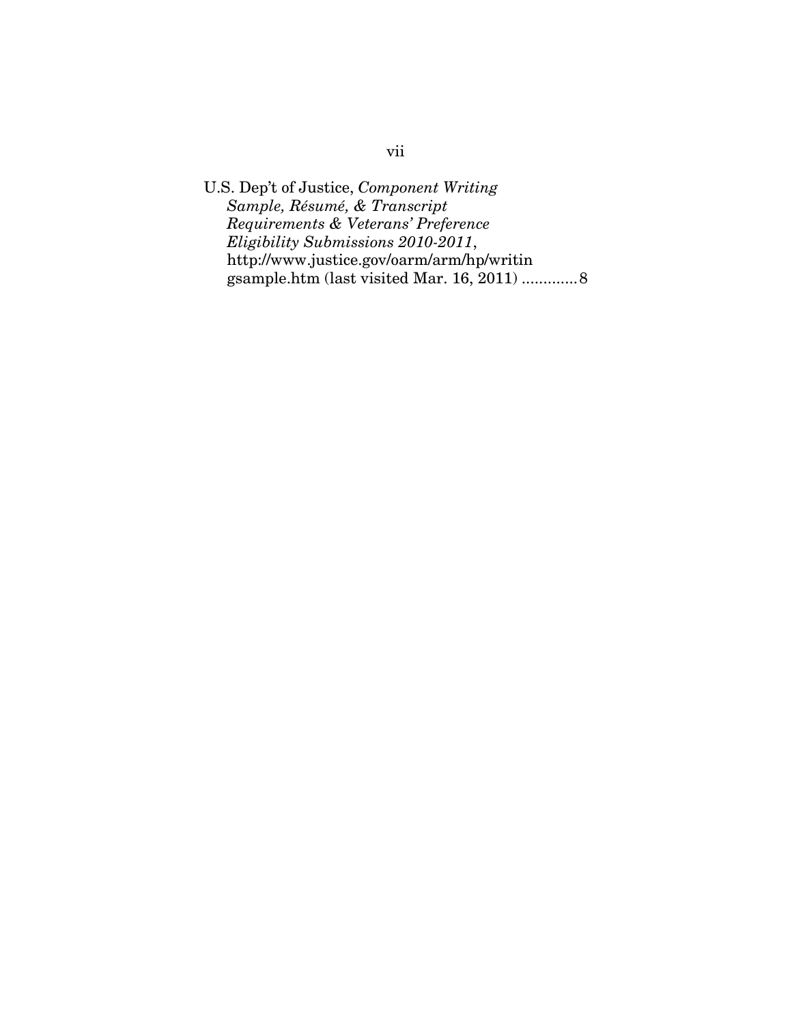U.S. Dep't of Justice, *Component Writing Sample, Résumé, & Transcript Requirements & Veterans' Preference Eligibility Submissions 2010-2011*, http://www.justice.gov/oarm/arm/hp/writin gsample.htm (last visited Mar. 16, 2011) .............8

# vii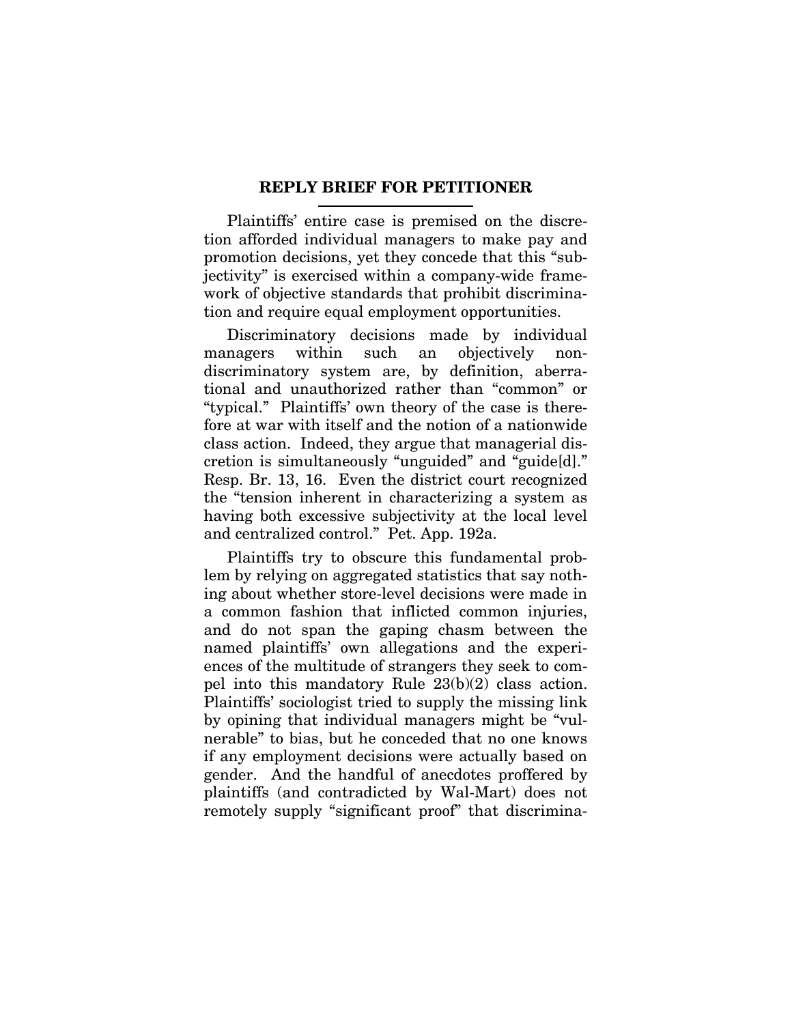## **REPLY BRIEF FOR PETITIONER**

Plaintiffs' entire case is premised on the discretion afforded individual managers to make pay and promotion decisions, yet they concede that this "subjectivity" is exercised within a company-wide framework of objective standards that prohibit discrimination and require equal employment opportunities.

Discriminatory decisions made by individual managers within such an objectively nondiscriminatory system are, by definition, aberrational and unauthorized rather than "common" or "typical." Plaintiffs' own theory of the case is therefore at war with itself and the notion of a nationwide class action. Indeed, they argue that managerial discretion is simultaneously "unguided" and "guide[d]." Resp. Br. 13, 16. Even the district court recognized the "tension inherent in characterizing a system as having both excessive subjectivity at the local level and centralized control." Pet. App. 192a.

Plaintiffs try to obscure this fundamental problem by relying on aggregated statistics that say nothing about whether store-level decisions were made in a common fashion that inflicted common injuries, and do not span the gaping chasm between the named plaintiffs' own allegations and the experiences of the multitude of strangers they seek to compel into this mandatory Rule 23(b)(2) class action. Plaintiffs' sociologist tried to supply the missing link by opining that individual managers might be "vulnerable" to bias, but he conceded that no one knows if any employment decisions were actually based on gender. And the handful of anecdotes proffered by plaintiffs (and contradicted by Wal-Mart) does not remotely supply "significant proof" that discrimina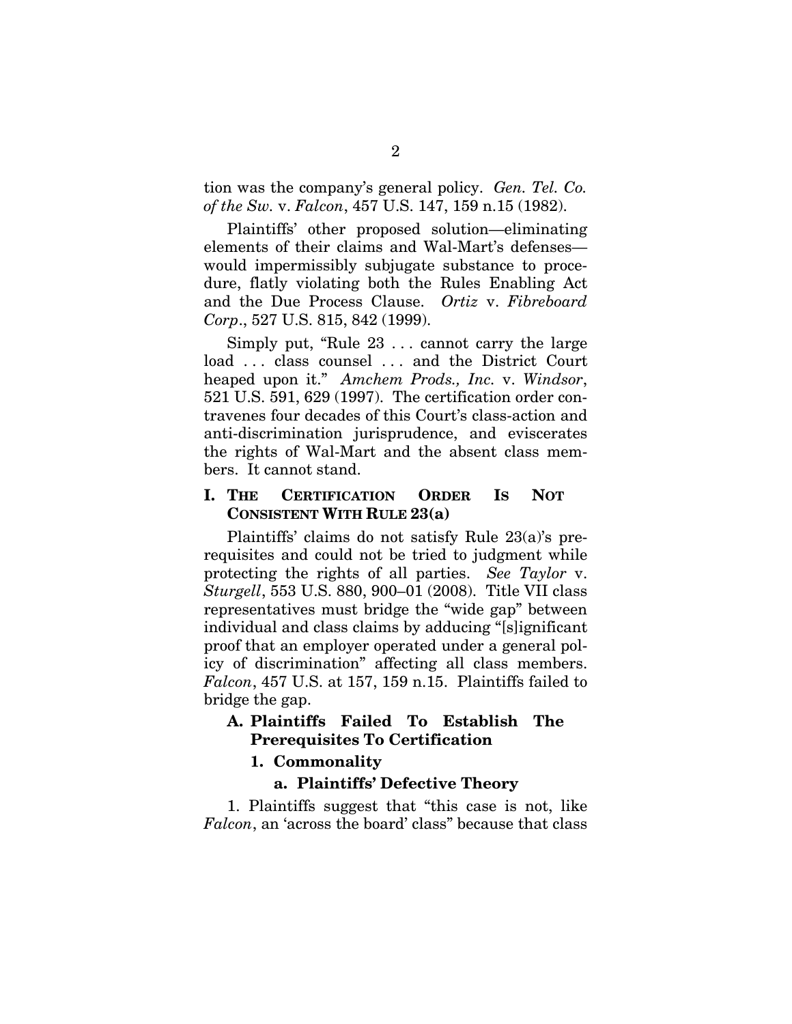tion was the company's general policy. *Gen. Tel. Co. of the Sw.* v. *Falcon*, 457 U.S. 147, 159 n.15 (1982).

Plaintiffs' other proposed solution—eliminating elements of their claims and Wal-Mart's defenses would impermissibly subjugate substance to procedure, flatly violating both the Rules Enabling Act and the Due Process Clause. *Ortiz* v. *Fibreboard Corp*., 527 U.S. 815, 842 (1999).

Simply put, "Rule 23 . . . cannot carry the large load ... class counsel ... and the District Court heaped upon it." *Amchem Prods., Inc.* v. *Windsor*, 521 U.S. 591, 629 (1997). The certification order contravenes four decades of this Court's class-action and anti-discrimination jurisprudence, and eviscerates the rights of Wal-Mart and the absent class members. It cannot stand.

## **I. THE CERTIFICATION ORDER IS NOT CONSISTENT WITH RULE 23(a)**

Plaintiffs' claims do not satisfy Rule 23(a)'s prerequisites and could not be tried to judgment while protecting the rights of all parties. *See Taylor* v. *Sturgell*, 553 U.S. 880, 900–01 (2008). Title VII class representatives must bridge the "wide gap" between individual and class claims by adducing "[s]ignificant proof that an employer operated under a general policy of discrimination" affecting all class members. *Falcon*, 457 U.S. at 157, 159 n.15. Plaintiffs failed to bridge the gap.

# **A. Plaintiffs Failed To Establish The Prerequisites To Certification**

## **1. Commonality**

#### **a. Plaintiffs' Defective Theory**

1. Plaintiffs suggest that "this case is not, like *Falcon*, an 'across the board' class" because that class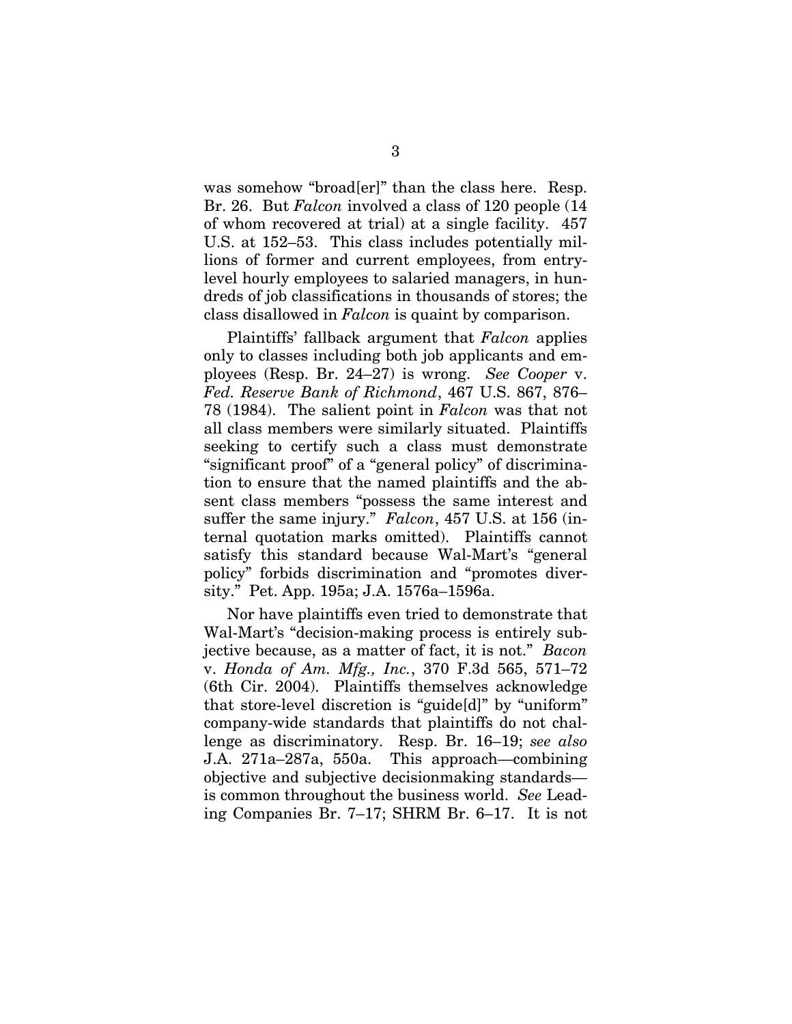was somehow "broad[er]" than the class here. Resp. Br. 26. But *Falcon* involved a class of 120 people (14 of whom recovered at trial) at a single facility. 457 U.S. at 152–53. This class includes potentially millions of former and current employees, from entrylevel hourly employees to salaried managers, in hundreds of job classifications in thousands of stores; the class disallowed in *Falcon* is quaint by comparison.

Plaintiffs' fallback argument that *Falcon* applies only to classes including both job applicants and employees (Resp. Br. 24–27) is wrong. *See Cooper* v. *Fed. Reserve Bank of Richmond*, 467 U.S. 867, 876– 78 (1984). The salient point in *Falcon* was that not all class members were similarly situated. Plaintiffs seeking to certify such a class must demonstrate "significant proof" of a "general policy" of discrimination to ensure that the named plaintiffs and the absent class members "possess the same interest and suffer the same injury." *Falcon*, 457 U.S. at 156 (internal quotation marks omitted). Plaintiffs cannot satisfy this standard because Wal-Mart's "general policy" forbids discrimination and "promotes diversity." Pet. App. 195a; J.A. 1576a–1596a.

Nor have plaintiffs even tried to demonstrate that Wal-Mart's "decision-making process is entirely subjective because, as a matter of fact, it is not." *Bacon*  v. *Honda of Am. Mfg., Inc.*, 370 F.3d 565, 571–72 (6th Cir. 2004). Plaintiffs themselves acknowledge that store-level discretion is "guide[d]" by "uniform" company-wide standards that plaintiffs do not challenge as discriminatory. Resp. Br. 16–19; *see also*  J.A. 271a–287a, 550a. This approach—combining objective and subjective decisionmaking standards is common throughout the business world. *See* Leading Companies Br. 7–17; SHRM Br. 6–17. It is not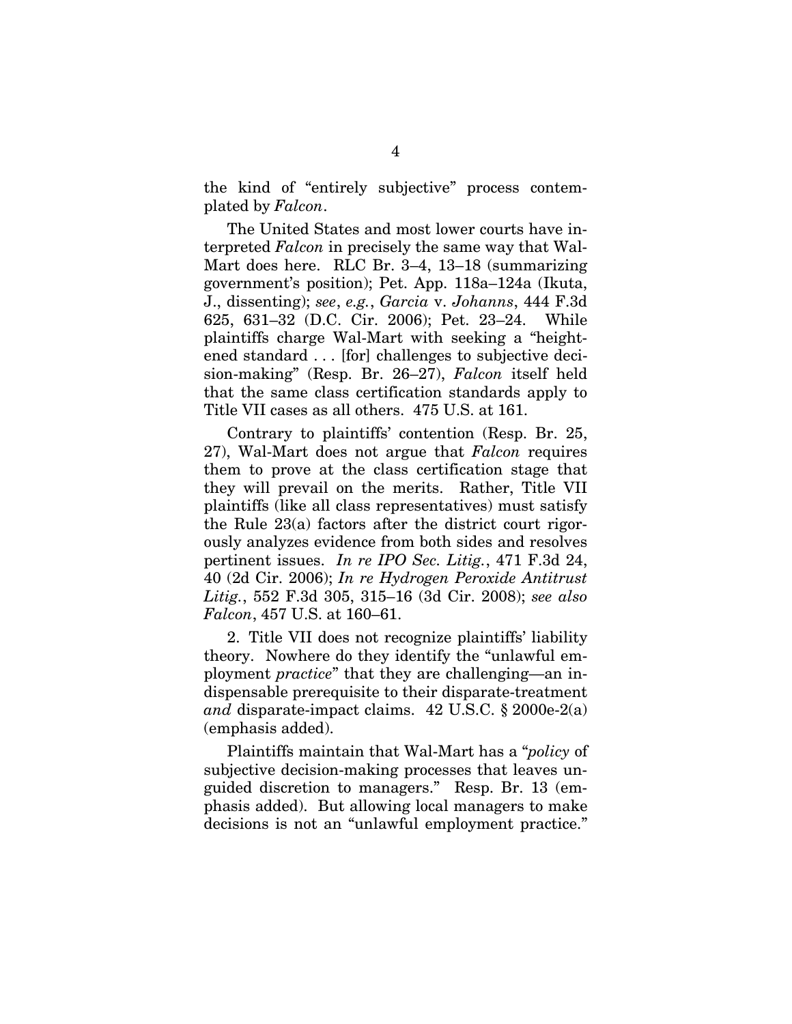the kind of "entirely subjective" process contemplated by *Falcon*.

The United States and most lower courts have interpreted *Falcon* in precisely the same way that Wal-Mart does here. RLC Br. 3–4, 13–18 (summarizing government's position); Pet. App. 118a–124a (Ikuta, J., dissenting); *see*, *e.g.*, *Garcia* v. *Johanns*, 444 F.3d 625, 631–32 (D.C. Cir. 2006); Pet. 23–24. While plaintiffs charge Wal-Mart with seeking a "heightened standard . . . [for] challenges to subjective decision-making" (Resp. Br. 26–27), *Falcon* itself held that the same class certification standards apply to Title VII cases as all others. 475 U.S. at 161.

Contrary to plaintiffs' contention (Resp. Br. 25, 27), Wal-Mart does not argue that *Falcon* requires them to prove at the class certification stage that they will prevail on the merits. Rather, Title VII plaintiffs (like all class representatives) must satisfy the Rule 23(a) factors after the district court rigorously analyzes evidence from both sides and resolves pertinent issues. *In re IPO Sec. Litig.*, 471 F.3d 24, 40 (2d Cir. 2006); *In re Hydrogen Peroxide Antitrust Litig.*, 552 F.3d 305, 315–16 (3d Cir. 2008); *see also Falcon*, 457 U.S. at 160–61.

2. Title VII does not recognize plaintiffs' liability theory. Nowhere do they identify the "unlawful employment *practice*" that they are challenging—an indispensable prerequisite to their disparate-treatment *and* disparate-impact claims. 42 U.S.C. § 2000e-2(a) (emphasis added).

Plaintiffs maintain that Wal-Mart has a "*policy* of subjective decision-making processes that leaves unguided discretion to managers." Resp. Br. 13 (emphasis added). But allowing local managers to make decisions is not an "unlawful employment practice."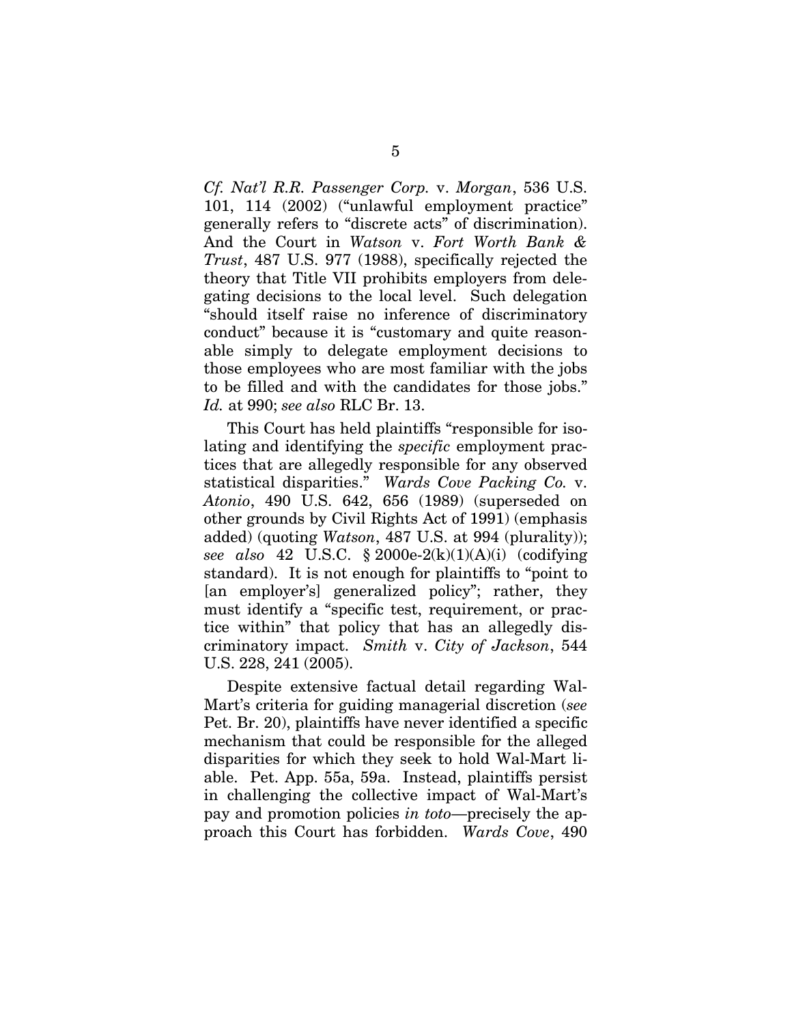*Cf. Nat'l R.R. Passenger Corp.* v. *Morgan*, 536 U.S. 101, 114 (2002) ("unlawful employment practice" generally refers to "discrete acts" of discrimination). And the Court in *Watson* v. *Fort Worth Bank & Trust*, 487 U.S. 977 (1988), specifically rejected the theory that Title VII prohibits employers from delegating decisions to the local level. Such delegation "should itself raise no inference of discriminatory conduct" because it is "customary and quite reasonable simply to delegate employment decisions to those employees who are most familiar with the jobs to be filled and with the candidates for those jobs." *Id.* at 990; *see also* RLC Br. 13.

This Court has held plaintiffs "responsible for isolating and identifying the *specific* employment practices that are allegedly responsible for any observed statistical disparities." *Wards Cove Packing Co.* v. *Atonio*, 490 U.S. 642, 656 (1989) (superseded on other grounds by Civil Rights Act of 1991) (emphasis added) (quoting *Watson*, 487 U.S. at 994 (plurality)); *see also* 42 U.S.C. § 2000e-2(k)(1)(A)(i) (codifying standard). It is not enough for plaintiffs to "point to [an employer's] generalized policy"; rather, they must identify a "specific test, requirement, or practice within" that policy that has an allegedly discriminatory impact. *Smith* v. *City of Jackson*, 544 U.S. 228, 241 (2005).

Despite extensive factual detail regarding Wal-Mart's criteria for guiding managerial discretion (*see* Pet. Br. 20), plaintiffs have never identified a specific mechanism that could be responsible for the alleged disparities for which they seek to hold Wal-Mart liable. Pet. App. 55a, 59a. Instead, plaintiffs persist in challenging the collective impact of Wal-Mart's pay and promotion policies *in toto*—precisely the approach this Court has forbidden. *Wards Cove*, 490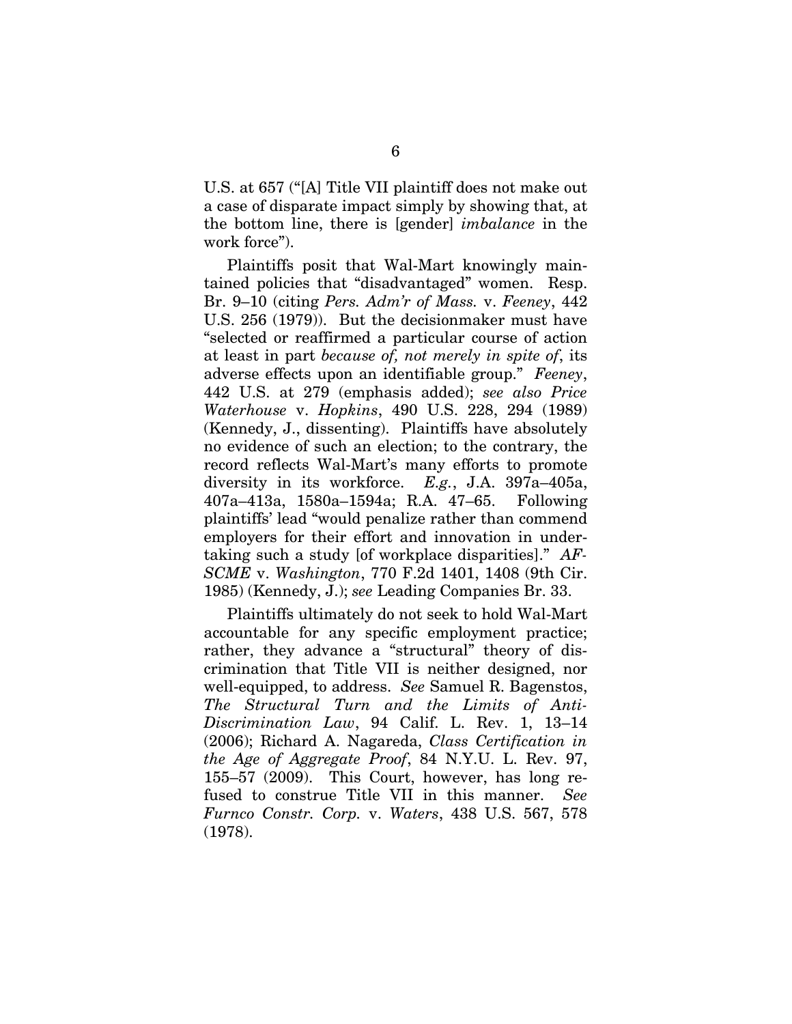U.S. at 657 ("[A] Title VII plaintiff does not make out a case of disparate impact simply by showing that, at the bottom line, there is [gender] *imbalance* in the work force").

Plaintiffs posit that Wal-Mart knowingly maintained policies that "disadvantaged" women. Resp. Br. 9–10 (citing *Pers. Adm'r of Mass.* v. *Feeney*, 442 U.S. 256 (1979)). But the decisionmaker must have "selected or reaffirmed a particular course of action at least in part *because of, not merely in spite of*, its adverse effects upon an identifiable group." *Feeney*, 442 U.S. at 279 (emphasis added); *see also Price Waterhouse* v. *Hopkins*, 490 U.S. 228, 294 (1989) (Kennedy, J., dissenting). Plaintiffs have absolutely no evidence of such an election; to the contrary, the record reflects Wal-Mart's many efforts to promote diversity in its workforce. *E.g.*, J.A. 397a–405a, 407a–413a, 1580a–1594a; R.A. 47–65. Following plaintiffs' lead "would penalize rather than commend employers for their effort and innovation in undertaking such a study [of workplace disparities]." *AF-SCME* v. *Washington*, 770 F.2d 1401, 1408 (9th Cir. 1985) (Kennedy, J.); *see* Leading Companies Br. 33.

Plaintiffs ultimately do not seek to hold Wal-Mart accountable for any specific employment practice; rather, they advance a "structural" theory of discrimination that Title VII is neither designed, nor well-equipped, to address. *See* Samuel R. Bagenstos, *The Structural Turn and the Limits of Anti-Discrimination Law*, 94 Calif. L. Rev. 1, 13–14 (2006); Richard A. Nagareda, *Class Certification in the Age of Aggregate Proof*, 84 N.Y.U. L. Rev. 97, 155–57 (2009). This Court, however, has long refused to construe Title VII in this manner. *See Furnco Constr. Corp.* v. *Waters*, 438 U.S. 567, 578 (1978).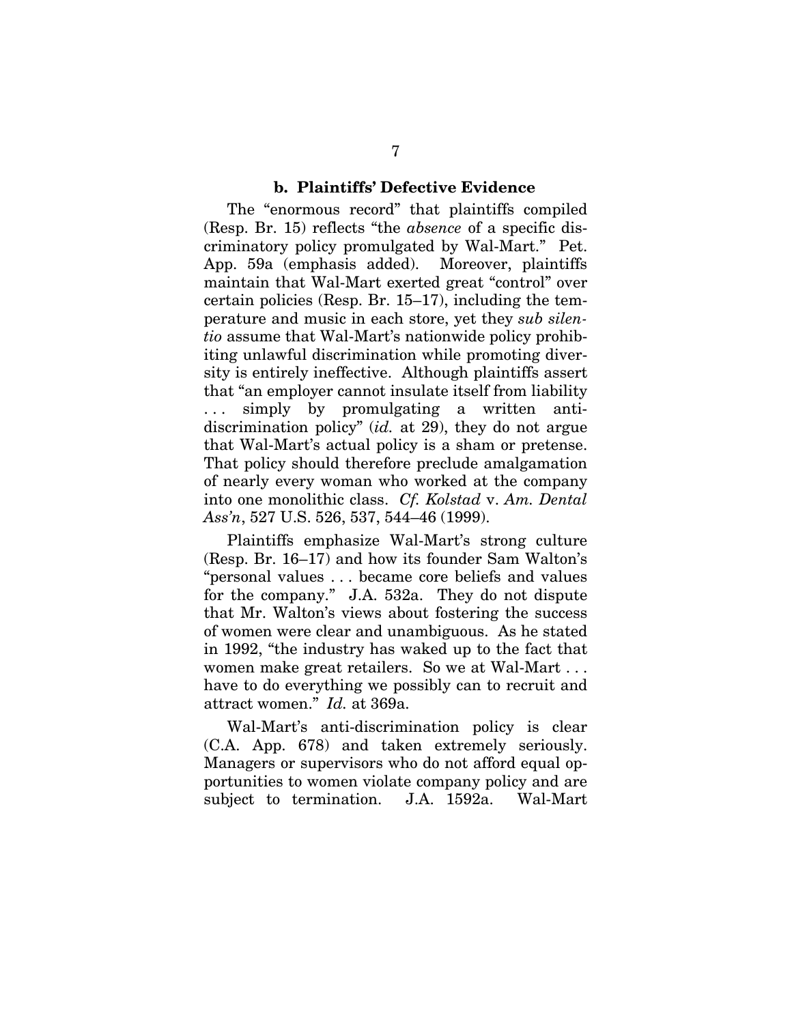#### **b. Plaintiffs' Defective Evidence**

The "enormous record" that plaintiffs compiled (Resp. Br. 15) reflects "the *absence* of a specific discriminatory policy promulgated by Wal-Mart." Pet. App. 59a (emphasis added). Moreover, plaintiffs maintain that Wal-Mart exerted great "control" over certain policies (Resp. Br. 15–17), including the temperature and music in each store, yet they *sub silentio* assume that Wal-Mart's nationwide policy prohibiting unlawful discrimination while promoting diversity is entirely ineffective. Although plaintiffs assert that "an employer cannot insulate itself from liability ... simply by promulgating a written antidiscrimination policy" (*id.* at 29), they do not argue that Wal-Mart's actual policy is a sham or pretense. That policy should therefore preclude amalgamation of nearly every woman who worked at the company into one monolithic class. *Cf. Kolstad* v. *Am. Dental Ass'n*, 527 U.S. 526, 537, 544–46 (1999).

Plaintiffs emphasize Wal-Mart's strong culture (Resp. Br. 16–17) and how its founder Sam Walton's "personal values . . . became core beliefs and values for the company." J.A. 532a. They do not dispute that Mr. Walton's views about fostering the success of women were clear and unambiguous. As he stated in 1992, "the industry has waked up to the fact that women make great retailers. So we at Wal-Mart . . . have to do everything we possibly can to recruit and attract women." *Id.* at 369a.

Wal-Mart's anti-discrimination policy is clear (C.A. App. 678) and taken extremely seriously. Managers or supervisors who do not afford equal opportunities to women violate company policy and are subject to termination. J.A. 1592a. Wal-Mart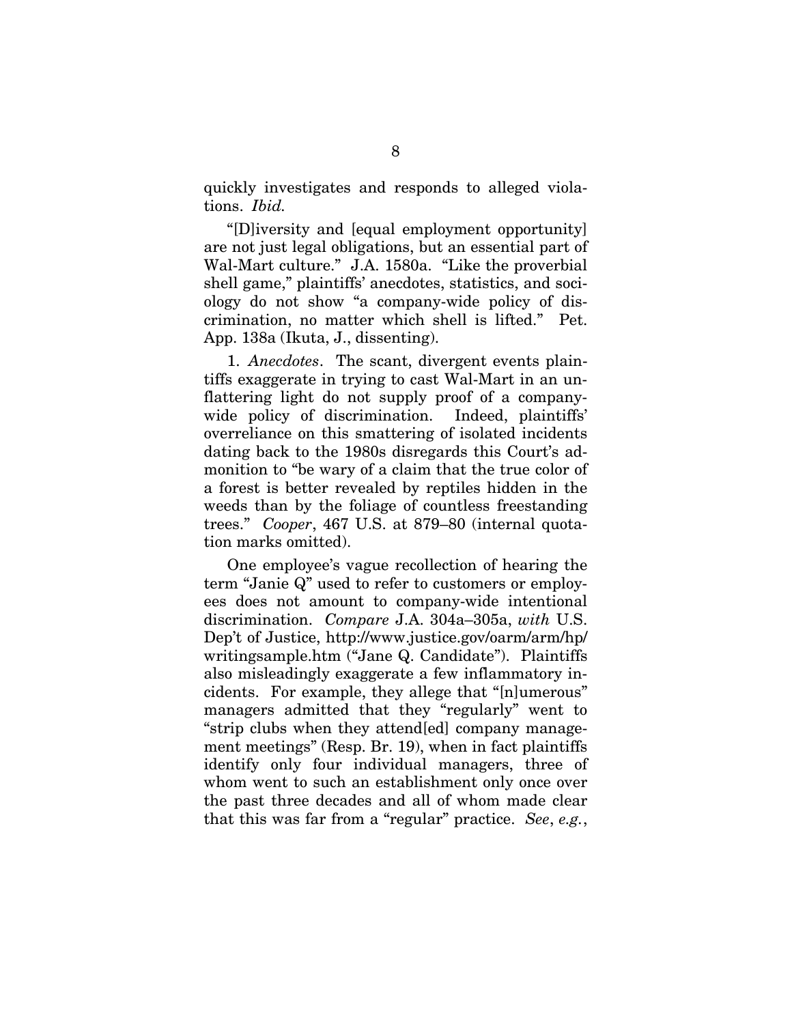quickly investigates and responds to alleged violations. *Ibid.*

"[D]iversity and [equal employment opportunity] are not just legal obligations, but an essential part of Wal-Mart culture." J.A. 1580a. "Like the proverbial shell game," plaintiffs' anecdotes, statistics, and sociology do not show "a company-wide policy of discrimination, no matter which shell is lifted." Pet. App. 138a (Ikuta, J., dissenting).

1. *Anecdotes*. The scant, divergent events plaintiffs exaggerate in trying to cast Wal-Mart in an unflattering light do not supply proof of a companywide policy of discrimination. Indeed, plaintiffs' overreliance on this smattering of isolated incidents dating back to the 1980s disregards this Court's admonition to "be wary of a claim that the true color of a forest is better revealed by reptiles hidden in the weeds than by the foliage of countless freestanding trees." *Cooper*, 467 U.S. at 879–80 (internal quotation marks omitted).

One employee's vague recollection of hearing the term "Janie Q" used to refer to customers or employees does not amount to company-wide intentional discrimination. *Compare* J.A. 304a–305a, *with* U.S. Dep't of Justice, http://www.justice.gov/oarm/arm/hp/ writingsample.htm ("Jane Q. Candidate"). Plaintiffs also misleadingly exaggerate a few inflammatory incidents. For example, they allege that "[n]umerous" managers admitted that they "regularly" went to "strip clubs when they attend[ed] company management meetings" (Resp. Br. 19), when in fact plaintiffs identify only four individual managers, three of whom went to such an establishment only once over the past three decades and all of whom made clear that this was far from a "regular" practice. *See*, *e.g.*,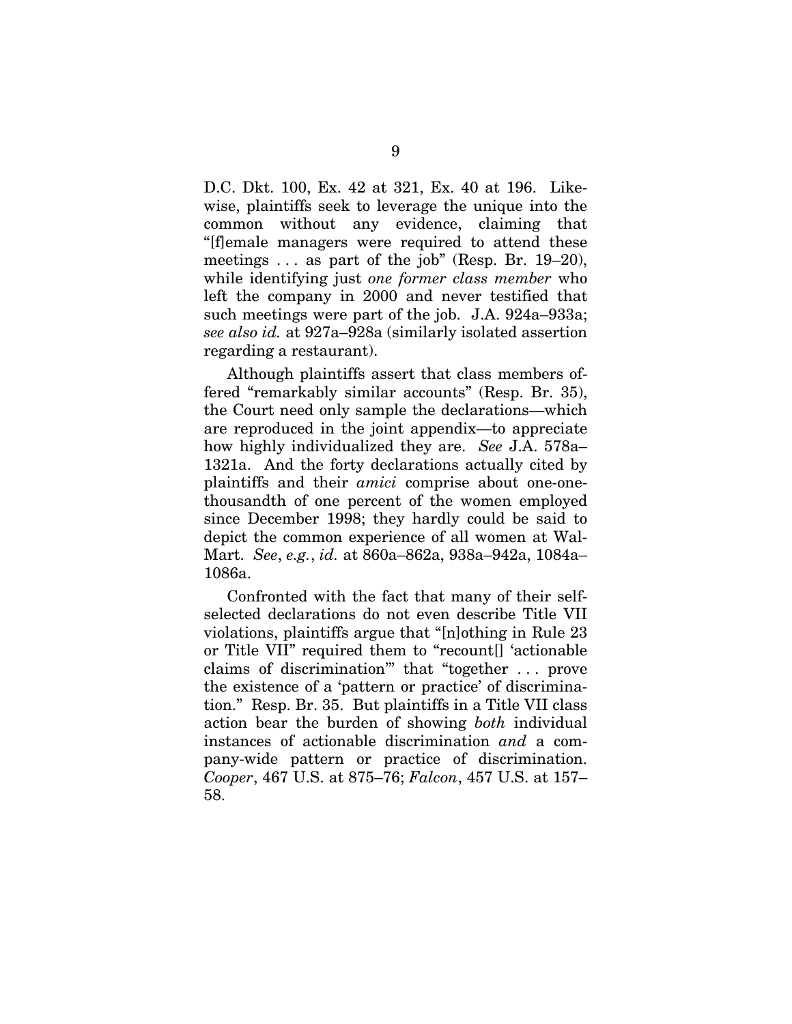D.C. Dkt. 100, Ex. 42 at 321, Ex. 40 at 196. Likewise, plaintiffs seek to leverage the unique into the common without any evidence, claiming that "[f]emale managers were required to attend these meetings . . . as part of the job" (Resp. Br. 19–20), while identifying just *one former class member* who left the company in 2000 and never testified that such meetings were part of the job. J.A. 924a–933a; *see also id.* at 927a–928a (similarly isolated assertion regarding a restaurant).

Although plaintiffs assert that class members offered "remarkably similar accounts" (Resp. Br. 35), the Court need only sample the declarations—which are reproduced in the joint appendix—to appreciate how highly individualized they are. *See* J.A. 578a– 1321a. And the forty declarations actually cited by plaintiffs and their *amici* comprise about one-onethousandth of one percent of the women employed since December 1998; they hardly could be said to depict the common experience of all women at Wal-Mart. *See*, *e.g.*, *id.* at 860a–862a, 938a–942a, 1084a– 1086a.

Confronted with the fact that many of their selfselected declarations do not even describe Title VII violations, plaintiffs argue that "[n]othing in Rule 23 or Title VII" required them to "recount[] 'actionable claims of discrimination'" that "together . . . prove the existence of a 'pattern or practice' of discrimination." Resp. Br. 35. But plaintiffs in a Title VII class action bear the burden of showing *both* individual instances of actionable discrimination *and* a company-wide pattern or practice of discrimination. *Cooper*, 467 U.S. at 875–76; *Falcon*, 457 U.S. at 157– 58.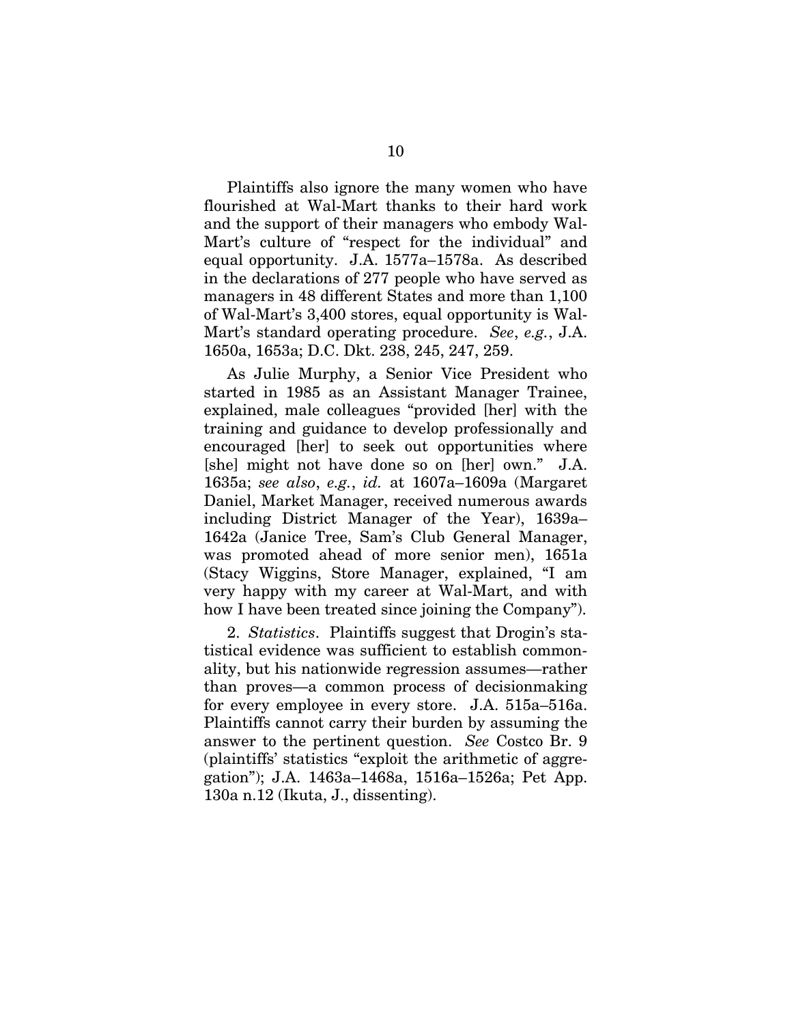Plaintiffs also ignore the many women who have flourished at Wal-Mart thanks to their hard work and the support of their managers who embody Wal-Mart's culture of "respect for the individual" and equal opportunity. J.A. 1577a–1578a. As described in the declarations of 277 people who have served as managers in 48 different States and more than 1,100 of Wal-Mart's 3,400 stores, equal opportunity is Wal-Mart's standard operating procedure. *See*, *e.g.*, J.A. 1650a, 1653a; D.C. Dkt. 238, 245, 247, 259.

As Julie Murphy, a Senior Vice President who started in 1985 as an Assistant Manager Trainee, explained, male colleagues "provided [her] with the training and guidance to develop professionally and encouraged [her] to seek out opportunities where [she] might not have done so on [her] own." J.A. 1635a; *see also*, *e.g.*, *id.* at 1607a–1609a (Margaret Daniel, Market Manager, received numerous awards including District Manager of the Year), 1639a– 1642a (Janice Tree, Sam's Club General Manager, was promoted ahead of more senior men), 1651a (Stacy Wiggins, Store Manager, explained, "I am very happy with my career at Wal-Mart, and with how I have been treated since joining the Company").

2. *Statistics*. Plaintiffs suggest that Drogin's statistical evidence was sufficient to establish commonality, but his nationwide regression assumes—rather than proves—a common process of decisionmaking for every employee in every store. J.A. 515a–516a. Plaintiffs cannot carry their burden by assuming the answer to the pertinent question. *See* Costco Br. 9 (plaintiffs' statistics "exploit the arithmetic of aggregation"); J.A. 1463a–1468a, 1516a–1526a; Pet App. 130a n.12 (Ikuta, J., dissenting).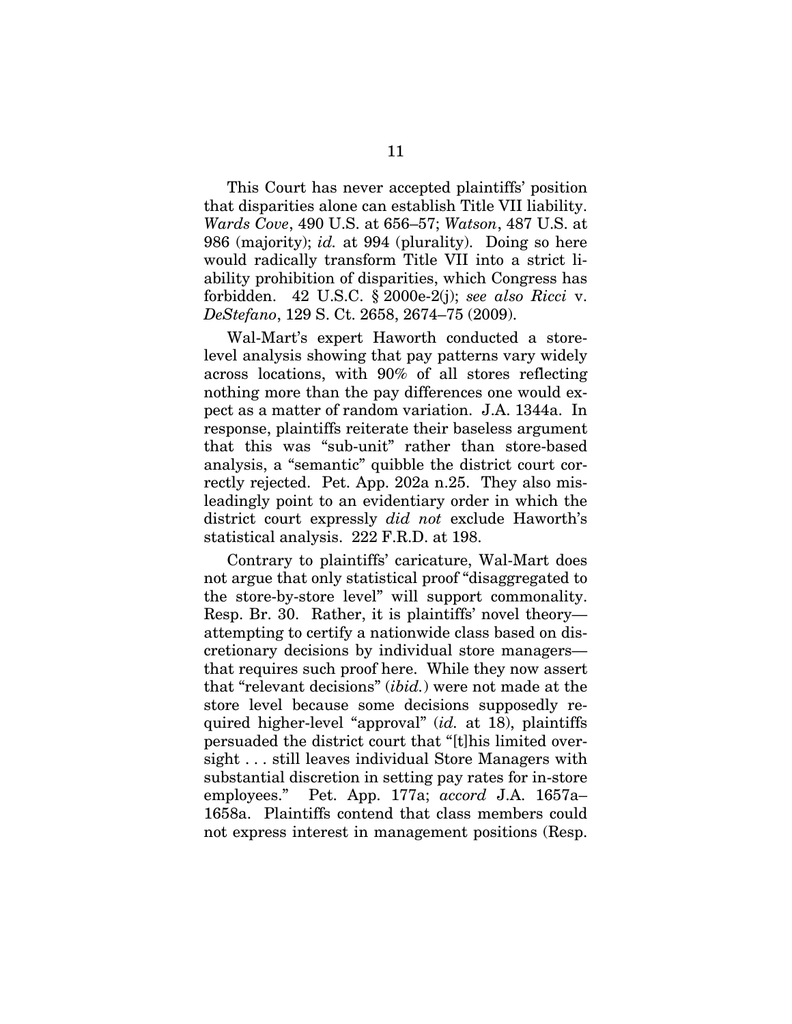This Court has never accepted plaintiffs' position that disparities alone can establish Title VII liability. *Wards Cove*, 490 U.S. at 656–57; *Watson*, 487 U.S. at 986 (majority); *id.* at 994 (plurality). Doing so here would radically transform Title VII into a strict liability prohibition of disparities, which Congress has forbidden. 42 U.S.C. § 2000e-2(j); *see also Ricci* v. *DeStefano*, 129 S. Ct. 2658, 2674–75 (2009).

Wal-Mart's expert Haworth conducted a storelevel analysis showing that pay patterns vary widely across locations, with 90% of all stores reflecting nothing more than the pay differences one would expect as a matter of random variation. J.A. 1344a. In response, plaintiffs reiterate their baseless argument that this was "sub-unit" rather than store-based analysis, a "semantic" quibble the district court correctly rejected. Pet. App. 202a n.25. They also misleadingly point to an evidentiary order in which the district court expressly *did not* exclude Haworth's statistical analysis. 222 F.R.D. at 198.

Contrary to plaintiffs' caricature, Wal-Mart does not argue that only statistical proof "disaggregated to the store-by-store level" will support commonality. Resp. Br. 30. Rather, it is plaintiffs' novel theory attempting to certify a nationwide class based on discretionary decisions by individual store managers that requires such proof here. While they now assert that "relevant decisions" (*ibid.*) were not made at the store level because some decisions supposedly required higher-level "approval" (*id.* at 18), plaintiffs persuaded the district court that "[t]his limited oversight . . . still leaves individual Store Managers with substantial discretion in setting pay rates for in-store employees." Pet. App. 177a; *accord* J.A. 1657a– 1658a. Plaintiffs contend that class members could not express interest in management positions (Resp.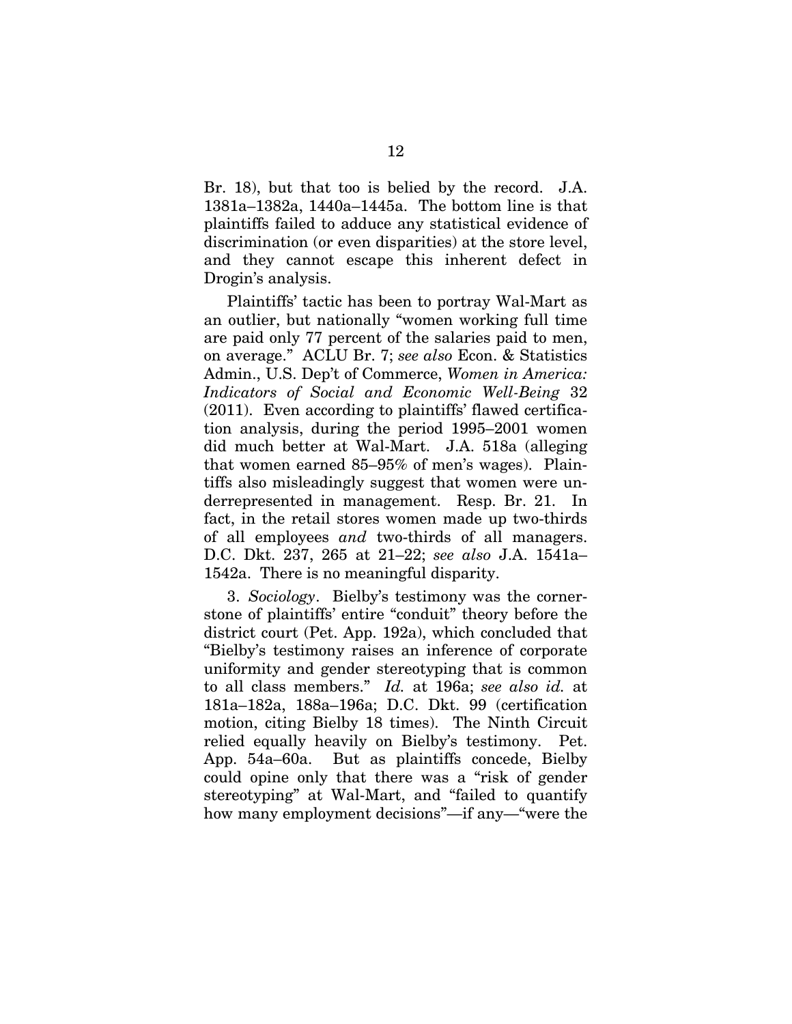Br. 18), but that too is belied by the record. J.A. 1381a–1382a, 1440a–1445a. The bottom line is that plaintiffs failed to adduce any statistical evidence of discrimination (or even disparities) at the store level, and they cannot escape this inherent defect in Drogin's analysis.

Plaintiffs' tactic has been to portray Wal-Mart as an outlier, but nationally "women working full time are paid only 77 percent of the salaries paid to men, on average." ACLU Br. 7; *see also* Econ. & Statistics Admin., U.S. Dep't of Commerce, *Women in America: Indicators of Social and Economic Well-Being* 32 (2011). Even according to plaintiffs' flawed certification analysis, during the period 1995–2001 women did much better at Wal-Mart. J.A. 518a (alleging that women earned 85–95% of men's wages). Plaintiffs also misleadingly suggest that women were underrepresented in management. Resp. Br. 21. In fact, in the retail stores women made up two-thirds of all employees *and* two-thirds of all managers. D.C. Dkt. 237, 265 at 21–22; *see also* J.A. 1541a– 1542a. There is no meaningful disparity.

3. *Sociology*. Bielby's testimony was the cornerstone of plaintiffs' entire "conduit" theory before the district court (Pet. App. 192a), which concluded that "Bielby's testimony raises an inference of corporate uniformity and gender stereotyping that is common to all class members." *Id.* at 196a; *see also id.* at 181a–182a, 188a–196a; D.C. Dkt. 99 (certification motion, citing Bielby 18 times). The Ninth Circuit relied equally heavily on Bielby's testimony. Pet. App. 54a–60a. But as plaintiffs concede, Bielby could opine only that there was a "risk of gender stereotyping" at Wal-Mart, and "failed to quantify how many employment decisions"—if any—"were the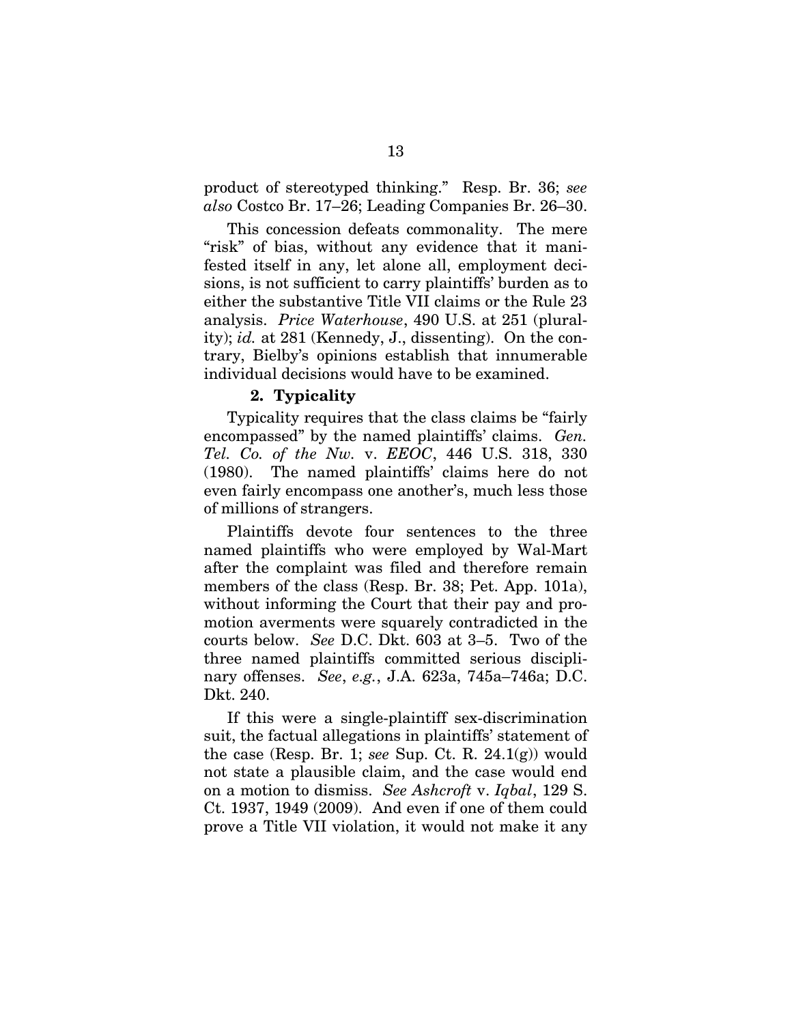product of stereotyped thinking." Resp. Br. 36; *see also* Costco Br. 17–26; Leading Companies Br. 26–30.

This concession defeats commonality. The mere "risk" of bias, without any evidence that it manifested itself in any, let alone all, employment decisions, is not sufficient to carry plaintiffs' burden as to either the substantive Title VII claims or the Rule 23 analysis. *Price Waterhouse*, 490 U.S. at 251 (plurality); *id.* at 281 (Kennedy, J., dissenting). On the contrary, Bielby's opinions establish that innumerable individual decisions would have to be examined.

#### **2. Typicality**

Typicality requires that the class claims be "fairly encompassed" by the named plaintiffs' claims. *Gen. Tel. Co. of the Nw.* v. *EEOC*, 446 U.S. 318, 330 (1980). The named plaintiffs' claims here do not even fairly encompass one another's, much less those of millions of strangers.

Plaintiffs devote four sentences to the three named plaintiffs who were employed by Wal-Mart after the complaint was filed and therefore remain members of the class (Resp. Br. 38; Pet. App. 101a), without informing the Court that their pay and promotion averments were squarely contradicted in the courts below. *See* D.C. Dkt. 603 at 3–5. Two of the three named plaintiffs committed serious disciplinary offenses. *See*, *e.g.*, J.A. 623a, 745a–746a; D.C. Dkt. 240.

If this were a single-plaintiff sex-discrimination suit, the factual allegations in plaintiffs' statement of the case (Resp. Br. 1; *see* Sup. Ct. R. 24.1(g)) would not state a plausible claim, and the case would end on a motion to dismiss. *See Ashcroft* v. *Iqbal*, 129 S. Ct. 1937, 1949 (2009). And even if one of them could prove a Title VII violation, it would not make it any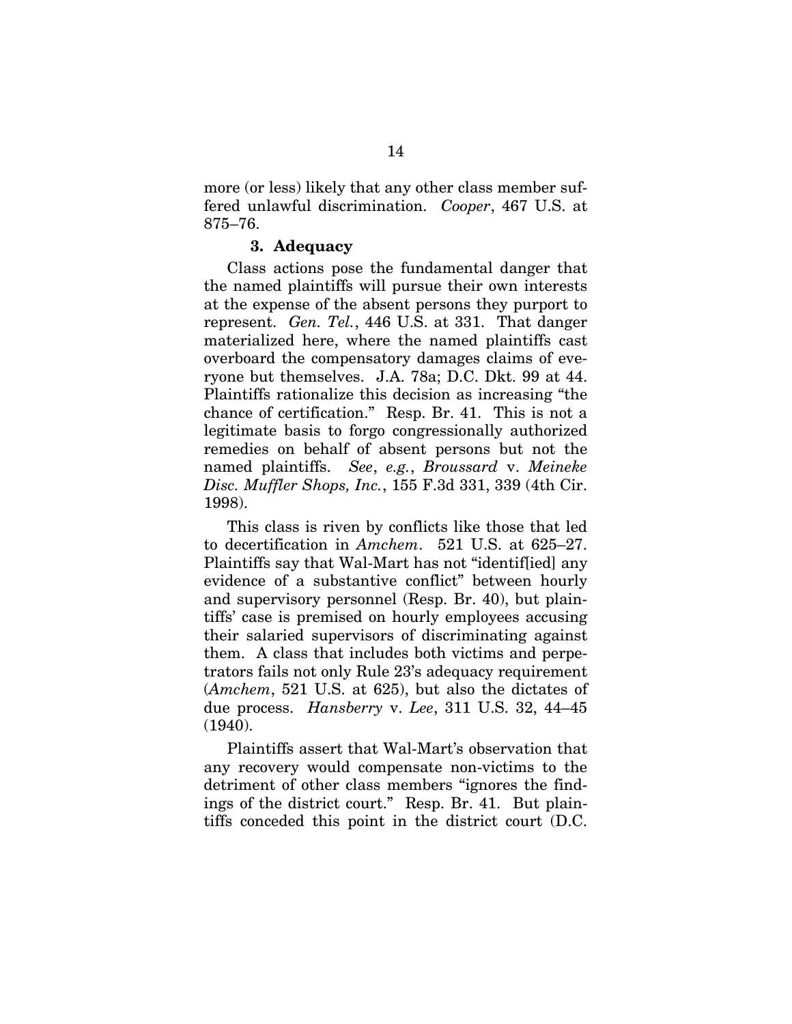more (or less) likely that any other class member suffered unlawful discrimination. *Cooper*, 467 U.S. at 875–76.

#### **3. Adequacy**

Class actions pose the fundamental danger that the named plaintiffs will pursue their own interests at the expense of the absent persons they purport to represent. *Gen. Tel.*, 446 U.S. at 331. That danger materialized here, where the named plaintiffs cast overboard the compensatory damages claims of everyone but themselves. J.A. 78a; D.C. Dkt. 99 at 44. Plaintiffs rationalize this decision as increasing "the chance of certification." Resp. Br. 41. This is not a legitimate basis to forgo congressionally authorized remedies on behalf of absent persons but not the named plaintiffs. *See*, *e.g.*, *Broussard* v. *Meineke Disc. Muffler Shops, Inc.*, 155 F.3d 331, 339 (4th Cir. 1998).

This class is riven by conflicts like those that led to decertification in *Amchem*. 521 U.S. at 625–27. Plaintiffs say that Wal-Mart has not "identif[ied] any evidence of a substantive conflict" between hourly and supervisory personnel (Resp. Br. 40), but plaintiffs' case is premised on hourly employees accusing their salaried supervisors of discriminating against them. A class that includes both victims and perpetrators fails not only Rule 23's adequacy requirement (*Amchem*, 521 U.S. at 625), but also the dictates of due process. *Hansberry* v. *Lee*, 311 U.S. 32, 44–45 (1940).

Plaintiffs assert that Wal-Mart's observation that any recovery would compensate non-victims to the detriment of other class members "ignores the findings of the district court." Resp. Br. 41. But plaintiffs conceded this point in the district court (D.C.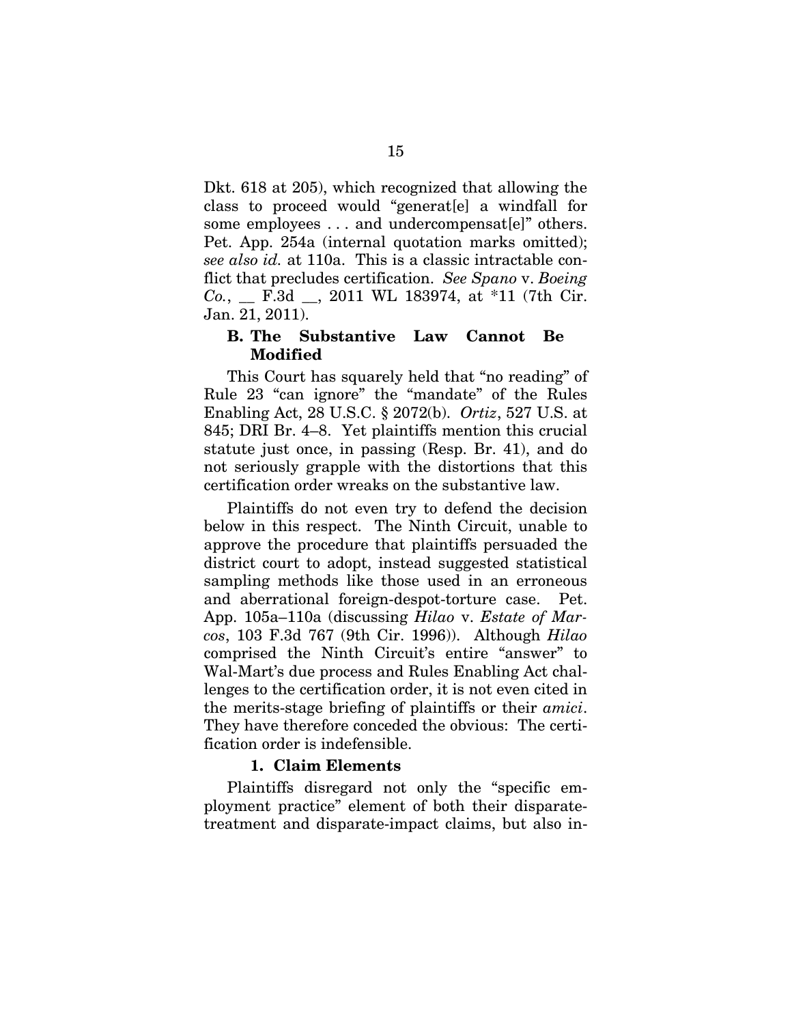Dkt. 618 at 205), which recognized that allowing the class to proceed would "generat[e] a windfall for some employees ... and undercompensat[e]" others. Pet. App. 254a (internal quotation marks omitted); *see also id.* at 110a. This is a classic intractable conflict that precludes certification. *See Spano* v. *Boeing Co.*, \_\_ F.3d \_\_, 2011 WL 183974, at \*11 (7th Cir. Jan. 21, 2011).

## **B. The Substantive Law Cannot Be Modified**

This Court has squarely held that "no reading" of Rule 23 "can ignore" the "mandate" of the Rules Enabling Act, 28 U.S.C. § 2072(b). *Ortiz*, 527 U.S. at 845; DRI Br. 4–8. Yet plaintiffs mention this crucial statute just once, in passing (Resp. Br. 41), and do not seriously grapple with the distortions that this certification order wreaks on the substantive law.

Plaintiffs do not even try to defend the decision below in this respect. The Ninth Circuit, unable to approve the procedure that plaintiffs persuaded the district court to adopt, instead suggested statistical sampling methods like those used in an erroneous and aberrational foreign-despot-torture case. Pet. App. 105a–110a (discussing *Hilao* v. *Estate of Marcos*, 103 F.3d 767 (9th Cir. 1996)). Although *Hilao* comprised the Ninth Circuit's entire "answer" to Wal-Mart's due process and Rules Enabling Act challenges to the certification order, it is not even cited in the merits-stage briefing of plaintiffs or their *amici*. They have therefore conceded the obvious: The certification order is indefensible.

## **1. Claim Elements**

Plaintiffs disregard not only the "specific employment practice" element of both their disparatetreatment and disparate-impact claims, but also in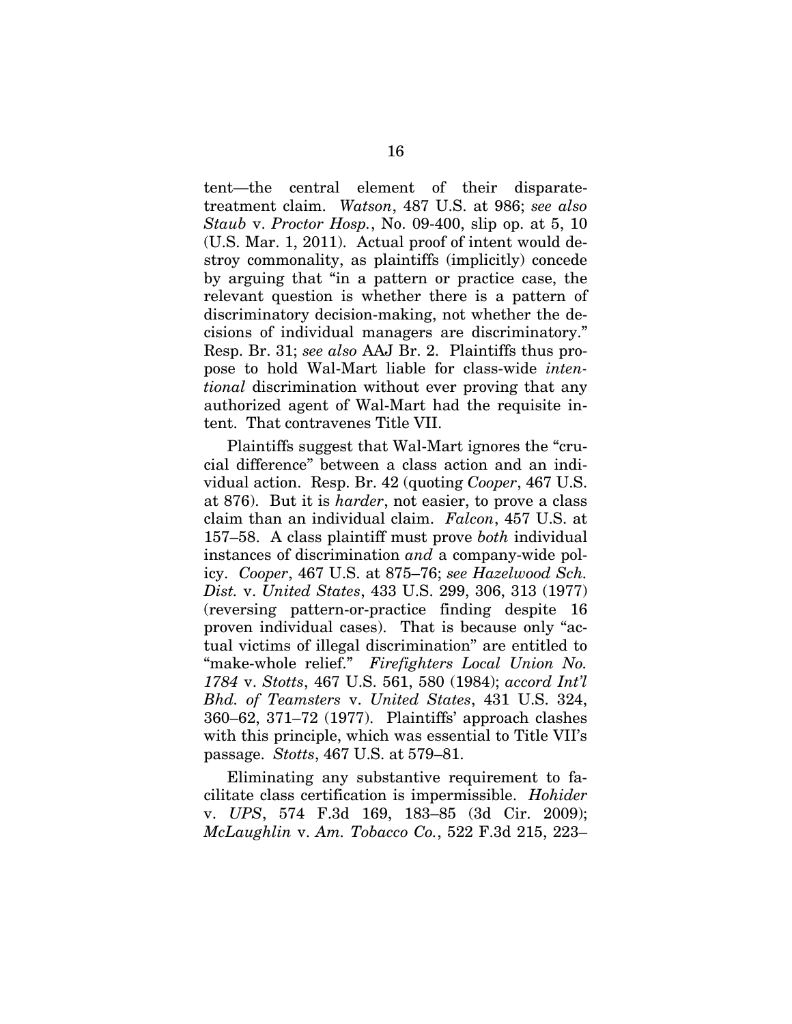tent—the central element of their disparatetreatment claim. *Watson*, 487 U.S. at 986; *see also Staub* v. *Proctor Hosp.*, No. 09-400, slip op. at 5, 10 (U.S. Mar. 1, 2011). Actual proof of intent would destroy commonality, as plaintiffs (implicitly) concede by arguing that "in a pattern or practice case, the relevant question is whether there is a pattern of discriminatory decision-making, not whether the decisions of individual managers are discriminatory." Resp. Br. 31; *see also* AAJ Br. 2. Plaintiffs thus propose to hold Wal-Mart liable for class-wide *intentional* discrimination without ever proving that any authorized agent of Wal-Mart had the requisite intent. That contravenes Title VII.

Plaintiffs suggest that Wal-Mart ignores the "crucial difference" between a class action and an individual action. Resp. Br. 42 (quoting *Cooper*, 467 U.S. at 876). But it is *harder*, not easier, to prove a class claim than an individual claim. *Falcon*, 457 U.S. at 157–58. A class plaintiff must prove *both* individual instances of discrimination *and* a company-wide policy. *Cooper*, 467 U.S. at 875–76; *see Hazelwood Sch. Dist.* v. *United States*, 433 U.S. 299, 306, 313 (1977) (reversing pattern-or-practice finding despite 16 proven individual cases). That is because only "actual victims of illegal discrimination" are entitled to "make-whole relief." *Firefighters Local Union No. 1784* v. *Stotts*, 467 U.S. 561, 580 (1984); *accord Int'l Bhd. of Teamsters* v. *United States*, 431 U.S. 324, 360–62, 371–72 (1977). Plaintiffs' approach clashes with this principle, which was essential to Title VII's passage. *Stotts*, 467 U.S. at 579–81.

Eliminating any substantive requirement to facilitate class certification is impermissible. *Hohider* v. *UPS*, 574 F.3d 169, 183–85 (3d Cir. 2009); *McLaughlin* v. *Am. Tobacco Co.*, 522 F.3d 215, 223–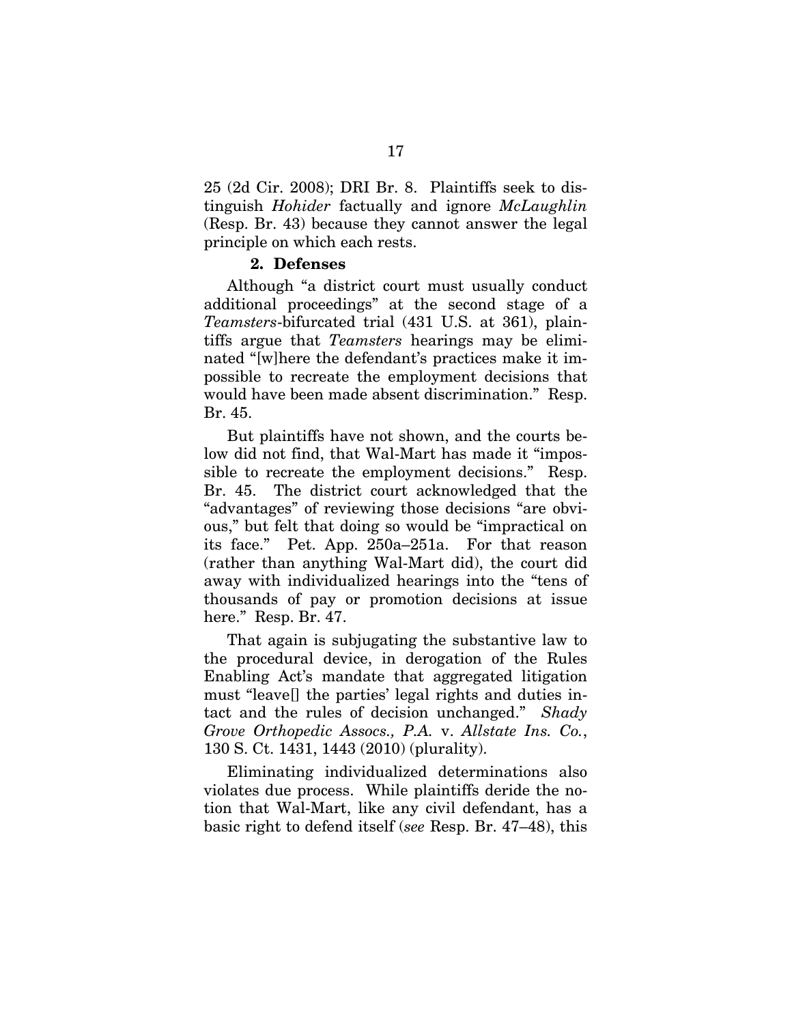25 (2d Cir. 2008); DRI Br. 8. Plaintiffs seek to distinguish *Hohider* factually and ignore *McLaughlin*  (Resp. Br. 43) because they cannot answer the legal principle on which each rests.

#### **2. Defenses**

Although "a district court must usually conduct additional proceedings" at the second stage of a *Teamsters*-bifurcated trial (431 U.S. at 361), plaintiffs argue that *Teamsters* hearings may be eliminated "[w]here the defendant's practices make it impossible to recreate the employment decisions that would have been made absent discrimination." Resp. Br. 45.

But plaintiffs have not shown, and the courts below did not find, that Wal-Mart has made it "impossible to recreate the employment decisions." Resp. Br. 45. The district court acknowledged that the "advantages" of reviewing those decisions "are obvious," but felt that doing so would be "impractical on its face." Pet. App. 250a–251a. For that reason (rather than anything Wal-Mart did), the court did away with individualized hearings into the "tens of thousands of pay or promotion decisions at issue here." Resp. Br. 47.

That again is subjugating the substantive law to the procedural device, in derogation of the Rules Enabling Act's mandate that aggregated litigation must "leave[] the parties' legal rights and duties intact and the rules of decision unchanged." *Shady Grove Orthopedic Assocs., P.A.* v. *Allstate Ins. Co.*, 130 S. Ct. 1431, 1443 (2010) (plurality).

Eliminating individualized determinations also violates due process. While plaintiffs deride the notion that Wal-Mart, like any civil defendant, has a basic right to defend itself (*see* Resp. Br. 47–48), this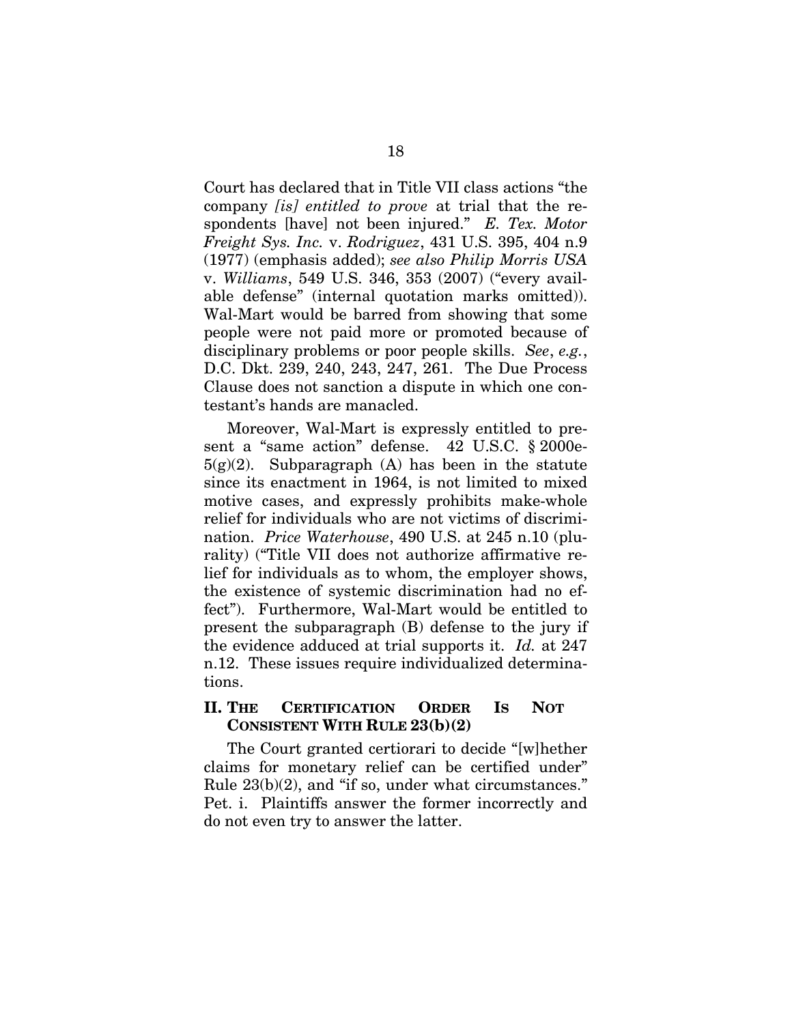Court has declared that in Title VII class actions "the company *[is] entitled to prove* at trial that the respondents [have] not been injured." *E. Tex. Motor Freight Sys. Inc.* v. *Rodriguez*, 431 U.S. 395, 404 n.9 (1977) (emphasis added); *see also Philip Morris USA* v. *Williams*, 549 U.S. 346, 353 (2007) ("every available defense" (internal quotation marks omitted)). Wal-Mart would be barred from showing that some people were not paid more or promoted because of disciplinary problems or poor people skills. *See*, *e.g.*, D.C. Dkt. 239, 240, 243, 247, 261. The Due Process Clause does not sanction a dispute in which one contestant's hands are manacled.

Moreover, Wal-Mart is expressly entitled to present a "same action" defense. 42 U.S.C. § 2000e- $5(g)(2)$ . Subparagraph (A) has been in the statute since its enactment in 1964, is not limited to mixed motive cases, and expressly prohibits make-whole relief for individuals who are not victims of discrimination. *Price Waterhouse*, 490 U.S. at 245 n.10 (plurality) ("Title VII does not authorize affirmative relief for individuals as to whom, the employer shows, the existence of systemic discrimination had no effect"). Furthermore, Wal-Mart would be entitled to present the subparagraph (B) defense to the jury if the evidence adduced at trial supports it. *Id.* at 247 n.12. These issues require individualized determinations.

# **II. THE CERTIFICATION ORDER IS NOT CONSISTENT WITH RULE 23(b)(2)**

The Court granted certiorari to decide "[w]hether claims for monetary relief can be certified under" Rule 23(b)(2), and "if so, under what circumstances." Pet. i. Plaintiffs answer the former incorrectly and do not even try to answer the latter.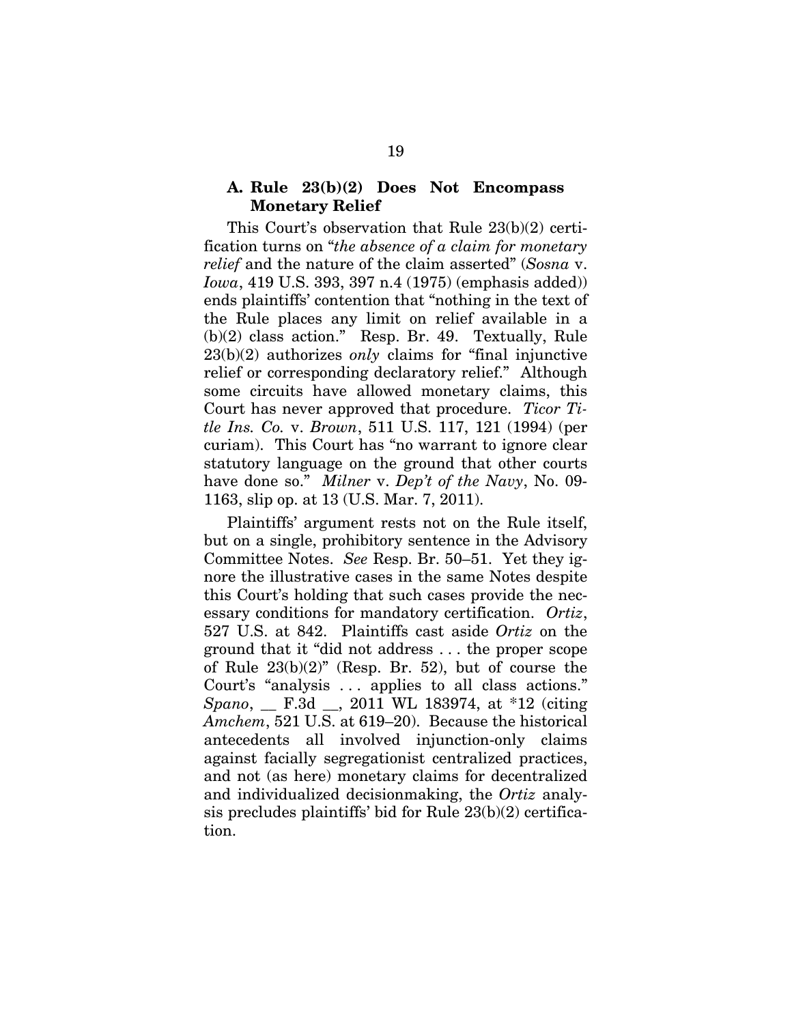#### **A. Rule 23(b)(2) Does Not Encompass Monetary Relief**

This Court's observation that Rule 23(b)(2) certification turns on "*the absence of a claim for monetary relief* and the nature of the claim asserted" (*Sosna* v. *Iowa*, 419 U.S. 393, 397 n.4 (1975) (emphasis added)) ends plaintiffs' contention that "nothing in the text of the Rule places any limit on relief available in a (b)(2) class action." Resp. Br. 49. Textually, Rule 23(b)(2) authorizes *only* claims for "final injunctive relief or corresponding declaratory relief." Although some circuits have allowed monetary claims, this Court has never approved that procedure. *Ticor Title Ins. Co.* v. *Brown*, 511 U.S. 117, 121 (1994) (per curiam). This Court has "no warrant to ignore clear statutory language on the ground that other courts have done so." *Milner* v. *Dep't of the Navy*, No. 09- 1163, slip op. at 13 (U.S. Mar. 7, 2011).

Plaintiffs' argument rests not on the Rule itself, but on a single, prohibitory sentence in the Advisory Committee Notes. *See* Resp. Br. 50–51. Yet they ignore the illustrative cases in the same Notes despite this Court's holding that such cases provide the necessary conditions for mandatory certification. *Ortiz*, 527 U.S. at 842. Plaintiffs cast aside *Ortiz* on the ground that it "did not address . . . the proper scope of Rule 23(b)(2)" (Resp. Br. 52), but of course the Court's "analysis . . . applies to all class actions." *Spano*, \_\_ F.3d \_\_, 2011 WL 183974, at \*12 (citing *Amchem*, 521 U.S. at 619–20). Because the historical antecedents all involved injunction-only claims against facially segregationist centralized practices, and not (as here) monetary claims for decentralized and individualized decisionmaking, the *Ortiz* analysis precludes plaintiffs' bid for Rule 23(b)(2) certification.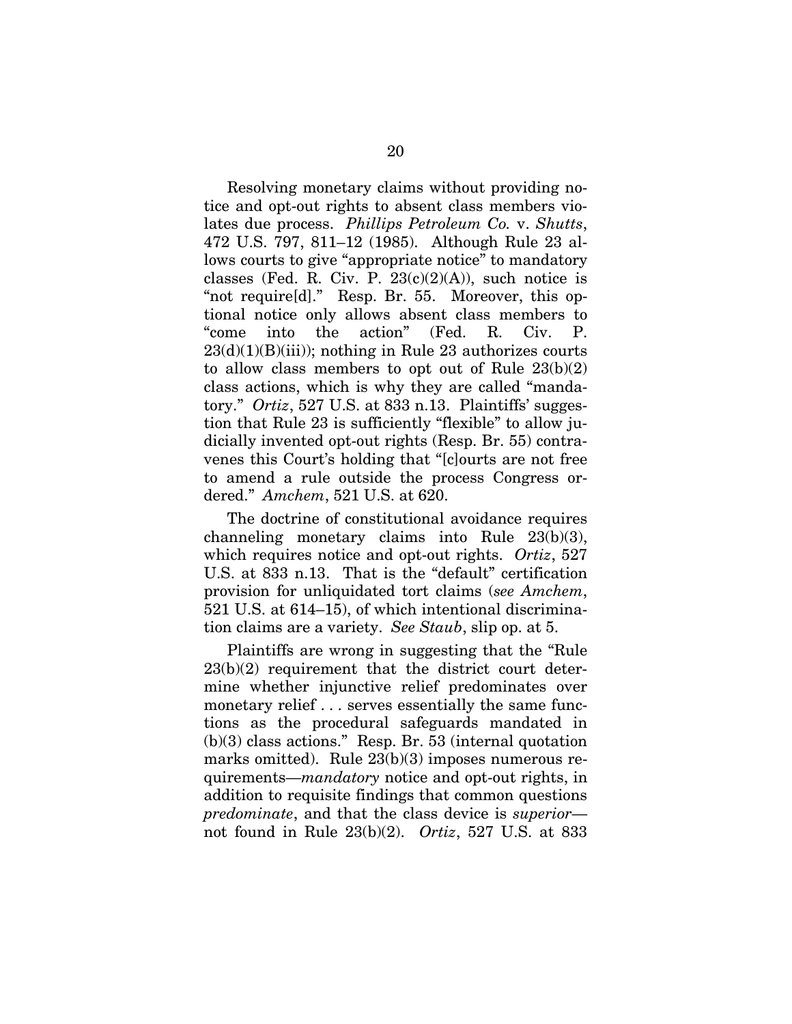Resolving monetary claims without providing notice and opt-out rights to absent class members violates due process. *Phillips Petroleum Co.* v. *Shutts*, 472 U.S. 797, 811–12 (1985). Although Rule 23 allows courts to give "appropriate notice" to mandatory classes (Fed. R. Civ. P.  $23(c)(2)(A)$ ), such notice is "not require[d]." Resp. Br. 55. Moreover, this optional notice only allows absent class members to "come into the action" (Fed. R. Civ. P.  $23(d)(1)(B)(iii)$ ; nothing in Rule 23 authorizes courts to allow class members to opt out of Rule 23(b)(2) class actions, which is why they are called "mandatory." *Ortiz*, 527 U.S. at 833 n.13. Plaintiffs' suggestion that Rule 23 is sufficiently "flexible" to allow judicially invented opt-out rights (Resp. Br. 55) contravenes this Court's holding that "[c]ourts are not free to amend a rule outside the process Congress ordered." *Amchem*, 521 U.S. at 620.

The doctrine of constitutional avoidance requires channeling monetary claims into Rule 23(b)(3), which requires notice and opt-out rights. *Ortiz*, 527 U.S. at 833 n.13. That is the "default" certification provision for unliquidated tort claims (*see Amchem*, 521 U.S. at 614–15), of which intentional discrimination claims are a variety. *See Staub*, slip op. at 5.

Plaintiffs are wrong in suggesting that the "Rule 23(b)(2) requirement that the district court determine whether injunctive relief predominates over monetary relief . . . serves essentially the same functions as the procedural safeguards mandated in (b)(3) class actions." Resp. Br. 53 (internal quotation marks omitted). Rule 23(b)(3) imposes numerous requirements—*mandatory* notice and opt-out rights, in addition to requisite findings that common questions *predominate*, and that the class device is *superior* not found in Rule 23(b)(2). *Ortiz*, 527 U.S. at 833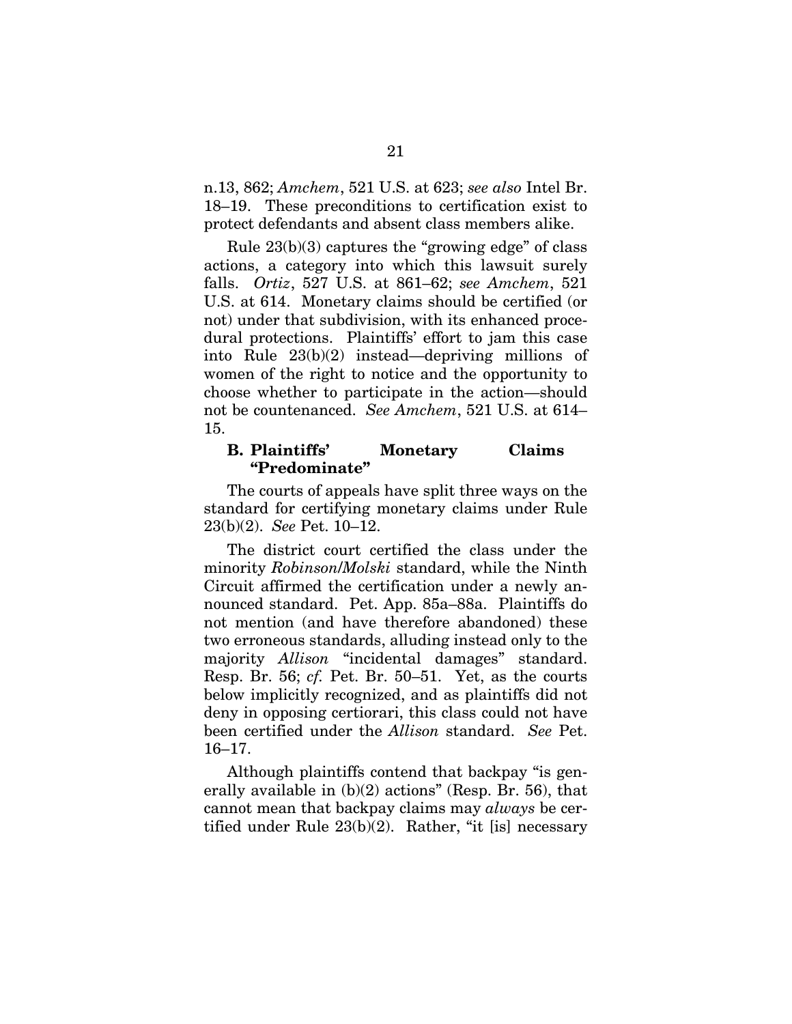n.13, 862; *Amchem*, 521 U.S. at 623; *see also* Intel Br. 18–19. These preconditions to certification exist to protect defendants and absent class members alike.

Rule  $23(b)(3)$  captures the "growing edge" of class actions, a category into which this lawsuit surely falls. *Ortiz*, 527 U.S. at 861–62; *see Amchem*, 521 U.S. at 614. Monetary claims should be certified (or not) under that subdivision, with its enhanced procedural protections. Plaintiffs' effort to jam this case into Rule 23(b)(2) instead—depriving millions of women of the right to notice and the opportunity to choose whether to participate in the action—should not be countenanced. *See Amchem*, 521 U.S. at 614– 15.

#### **B. Plaintiffs' Monetary Claims "Predominate"**

The courts of appeals have split three ways on the standard for certifying monetary claims under Rule 23(b)(2). *See* Pet. 10–12.

The district court certified the class under the minority *Robinson*/*Molski* standard, while the Ninth Circuit affirmed the certification under a newly announced standard. Pet. App. 85a–88a. Plaintiffs do not mention (and have therefore abandoned) these two erroneous standards, alluding instead only to the majority *Allison* "incidental damages" standard. Resp. Br. 56; *cf.* Pet. Br. 50–51. Yet, as the courts below implicitly recognized, and as plaintiffs did not deny in opposing certiorari, this class could not have been certified under the *Allison* standard. *See* Pet. 16–17.

Although plaintiffs contend that backpay "is generally available in (b)(2) actions" (Resp. Br. 56), that cannot mean that backpay claims may *always* be certified under Rule 23(b)(2). Rather, "it [is] necessary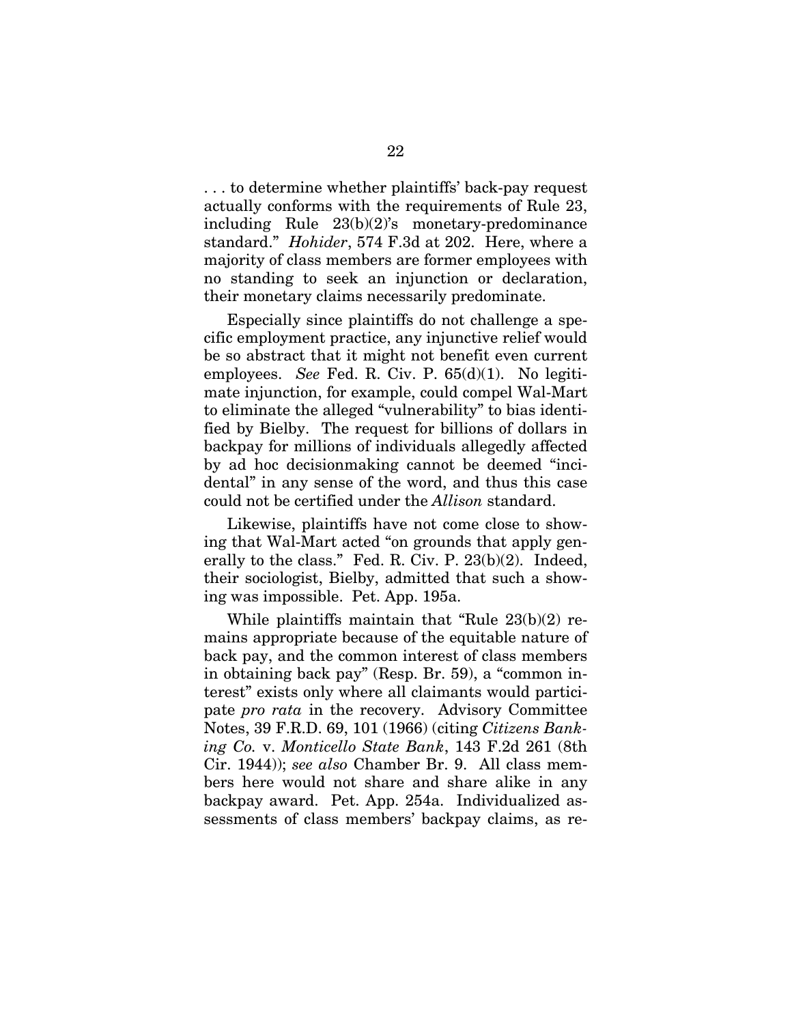. . . to determine whether plaintiffs' back-pay request actually conforms with the requirements of Rule 23, including Rule 23(b)(2)'s monetary-predominance standard." *Hohider*, 574 F.3d at 202. Here, where a majority of class members are former employees with no standing to seek an injunction or declaration, their monetary claims necessarily predominate.

Especially since plaintiffs do not challenge a specific employment practice, any injunctive relief would be so abstract that it might not benefit even current employees. *See* Fed. R. Civ. P. 65(d)(1). No legitimate injunction, for example, could compel Wal-Mart to eliminate the alleged "vulnerability" to bias identified by Bielby. The request for billions of dollars in backpay for millions of individuals allegedly affected by ad hoc decisionmaking cannot be deemed "incidental" in any sense of the word, and thus this case could not be certified under the *Allison* standard.

Likewise, plaintiffs have not come close to showing that Wal-Mart acted "on grounds that apply generally to the class." Fed. R. Civ. P. 23(b)(2). Indeed, their sociologist, Bielby, admitted that such a showing was impossible. Pet. App. 195a.

While plaintiffs maintain that "Rule 23(b)(2) remains appropriate because of the equitable nature of back pay, and the common interest of class members in obtaining back pay" (Resp. Br. 59), a "common interest" exists only where all claimants would participate *pro rata* in the recovery. Advisory Committee Notes, 39 F.R.D. 69, 101 (1966) (citing *Citizens Banking Co.* v. *Monticello State Bank*, 143 F.2d 261 (8th Cir. 1944)); *see also* Chamber Br. 9. All class members here would not share and share alike in any backpay award. Pet. App. 254a. Individualized assessments of class members' backpay claims, as re